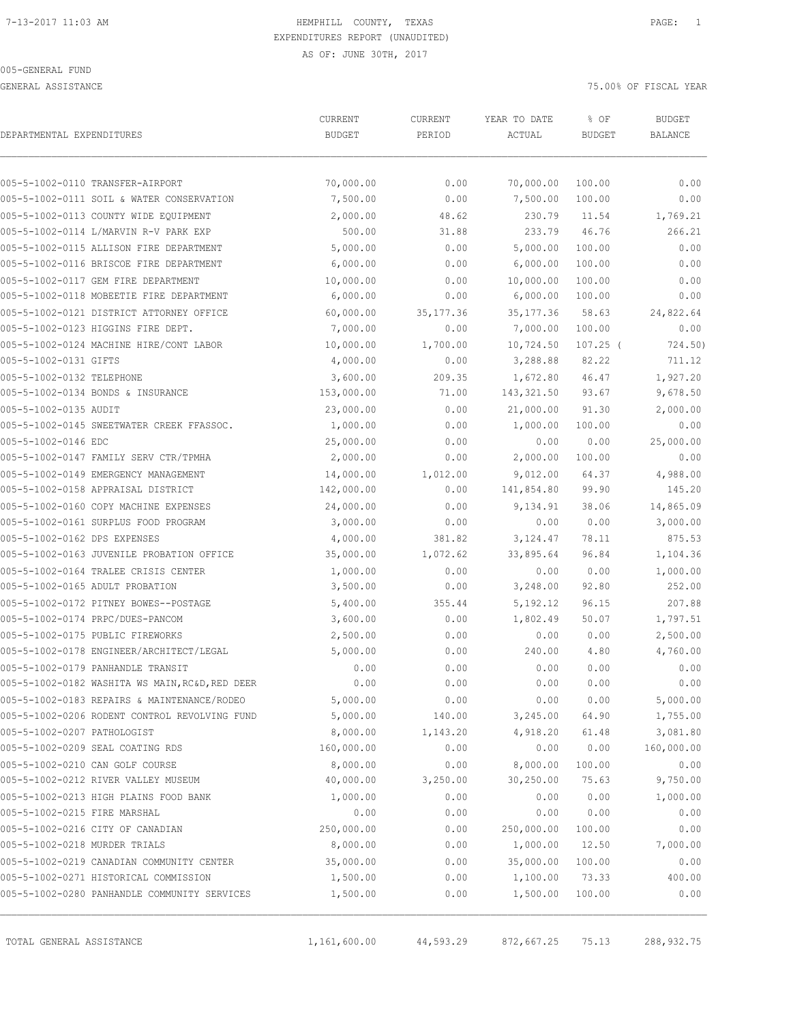GENERAL ASSISTANCE **75.000 OF FISCAL YEAR** 

| DEPARTMENTAL EXPENDITURES     | CURRENT<br>CURRENT                              |            | YEAR TO DATE | % OF          | <b>BUDGET</b>  |            |
|-------------------------------|-------------------------------------------------|------------|--------------|---------------|----------------|------------|
|                               | <b>BUDGET</b>                                   | PERIOD     | ACTUAL       | <b>BUDGET</b> | <b>BALANCE</b> |            |
|                               | 005-5-1002-0110 TRANSFER-AIRPORT                | 70,000.00  | 0.00         | 70,000.00     | 100.00         | 0.00       |
|                               | 005-5-1002-0111 SOIL & WATER CONSERVATION       | 7,500.00   | 0.00         | 7,500.00      | 100.00         | 0.00       |
|                               | 005-5-1002-0113 COUNTY WIDE EQUIPMENT           | 2,000.00   | 48.62        | 230.79        | 11.54          | 1,769.21   |
|                               | 005-5-1002-0114 L/MARVIN R-V PARK EXP           | 500.00     | 31.88        | 233.79        | 46.76          | 266.21     |
|                               | 005-5-1002-0115 ALLISON FIRE DEPARTMENT         | 5,000.00   | 0.00         | 5,000.00      | 100.00         | 0.00       |
|                               | 005-5-1002-0116 BRISCOE FIRE DEPARTMENT         | 6,000.00   | 0.00         | 6,000.00      | 100.00         | 0.00       |
|                               | 005-5-1002-0117 GEM FIRE DEPARTMENT             | 10,000.00  | 0.00         | 10,000.00     | 100.00         | 0.00       |
|                               | 005-5-1002-0118 MOBEETIE FIRE DEPARTMENT        | 6,000.00   | 0.00         | 6,000.00      | 100.00         | 0.00       |
|                               | 005-5-1002-0121 DISTRICT ATTORNEY OFFICE        | 60,000.00  | 35, 177.36   | 35, 177.36    | 58.63          | 24,822.64  |
|                               | 005-5-1002-0123 HIGGINS FIRE DEPT.              | 7,000.00   | 0.00         | 7,000.00      | 100.00         | 0.00       |
|                               | 005-5-1002-0124 MACHINE HIRE/CONT LABOR         | 10,000.00  | 1,700.00     | 10,724.50     | $107.25$ (     | 724.50)    |
| 005-5-1002-0131 GIFTS         |                                                 | 4,000.00   | 0.00         | 3,288.88      | 82.22          | 711.12     |
| 005-5-1002-0132 TELEPHONE     |                                                 | 3,600.00   | 209.35       | 1,672.80      | 46.47          | 1,927.20   |
|                               | 005-5-1002-0134 BONDS & INSURANCE               | 153,000.00 | 71.00        | 143, 321.50   | 93.67          | 9,678.50   |
| 005-5-1002-0135 AUDIT         |                                                 | 23,000.00  | 0.00         | 21,000.00     | 91.30          | 2,000.00   |
|                               | 005-5-1002-0145 SWEETWATER CREEK FFASSOC.       | 1,000.00   | 0.00         | 1,000.00      | 100.00         | 0.00       |
| 005-5-1002-0146 EDC           |                                                 | 25,000.00  | 0.00         | 0.00          | 0.00           | 25,000.00  |
|                               | 005-5-1002-0147 FAMILY SERV CTR/TPMHA           | 2,000.00   | 0.00         | 2,000.00      | 100.00         | 0.00       |
|                               | 005-5-1002-0149 EMERGENCY MANAGEMENT            | 14,000.00  | 1,012.00     | 9,012.00      | 64.37          | 4,988.00   |
|                               | 005-5-1002-0158 APPRAISAL DISTRICT              | 142,000.00 | 0.00         | 141,854.80    | 99.90          | 145.20     |
|                               | 005-5-1002-0160 COPY MACHINE EXPENSES           | 24,000.00  | 0.00         | 9,134.91      | 38.06          | 14,865.09  |
|                               | 005-5-1002-0161 SURPLUS FOOD PROGRAM            | 3,000.00   | 0.00         | 0.00          | 0.00           | 3,000.00   |
| 005-5-1002-0162 DPS EXPENSES  |                                                 | 4,000.00   | 381.82       | 3, 124.47     | 78.11          | 875.53     |
|                               | 005-5-1002-0163 JUVENILE PROBATION OFFICE       | 35,000.00  | 1,072.62     | 33,895.64     | 96.84          | 1,104.36   |
|                               | 005-5-1002-0164 TRALEE CRISIS CENTER            | 1,000.00   | 0.00         | 0.00          | 0.00           | 1,000.00   |
|                               | 005-5-1002-0165 ADULT PROBATION                 | 3,500.00   | 0.00         | 3,248.00      | 92.80          | 252.00     |
|                               | 005-5-1002-0172 PITNEY BOWES--POSTAGE           | 5,400.00   | 355.44       | 5, 192. 12    | 96.15          | 207.88     |
|                               | 005-5-1002-0174 PRPC/DUES-PANCOM                | 3,600.00   | 0.00         | 1,802.49      | 50.07          | 1,797.51   |
|                               | 005-5-1002-0175 PUBLIC FIREWORKS                | 2,500.00   | 0.00         | 0.00          | 0.00           | 2,500.00   |
|                               | 005-5-1002-0178 ENGINEER/ARCHITECT/LEGAL        | 5,000.00   | 0.00         | 240.00        | 4.80           | 4,760.00   |
|                               | 005-5-1002-0179 PANHANDLE TRANSIT               | 0.00       | 0.00         | 0.00          | 0.00           | 0.00       |
|                               | 005-5-1002-0182 WASHITA WS MAIN, RC&D, RED DEER | 0.00       | 0.00         | 0.00          | 0.00           | 0.00       |
|                               | 005-5-1002-0183 REPAIRS & MAINTENANCE/RODEO     | 5,000.00   | 0.00         | 0.00          | 0.00           | 5,000.00   |
|                               | 005-5-1002-0206 RODENT CONTROL REVOLVING FUND   | 5,000.00   | 140.00       | 3,245.00      | 64.90          | 1,755.00   |
| 005-5-1002-0207 PATHOLOGIST   |                                                 | 8,000.00   | 1,143.20     | 4,918.20      | 61.48          | 3,081.80   |
|                               | 005-5-1002-0209 SEAL COATING RDS                | 160,000.00 | 0.00         | 0.00          | 0.00           | 160,000.00 |
|                               | 005-5-1002-0210 CAN GOLF COURSE                 | 8,000.00   | 0.00         | 8,000.00      | 100.00         | 0.00       |
|                               | 005-5-1002-0212 RIVER VALLEY MUSEUM             | 40,000.00  | 3,250.00     | 30,250.00     | 75.63          | 9,750.00   |
|                               | 005-5-1002-0213 HIGH PLAINS FOOD BANK           | 1,000.00   | 0.00         | 0.00          | 0.00           | 1,000.00   |
| 005-5-1002-0215 FIRE MARSHAL  |                                                 | 0.00       | 0.00         | 0.00          | 0.00           | 0.00       |
|                               | 005-5-1002-0216 CITY OF CANADIAN                | 250,000.00 | 0.00         | 250,000.00    | 100.00         | 0.00       |
| 005-5-1002-0218 MURDER TRIALS |                                                 | 8,000.00   | 0.00         | 1,000.00      | 12.50          | 7,000.00   |
|                               | 005-5-1002-0219 CANADIAN COMMUNITY CENTER       | 35,000.00  | 0.00         | 35,000.00     | 100.00         | 0.00       |
|                               | 005-5-1002-0271 HISTORICAL COMMISSION           | 1,500.00   | 0.00         | 1,100.00      | 73.33          | 400.00     |
|                               | 005-5-1002-0280 PANHANDLE COMMUNITY SERVICES    | 1,500.00   | 0.00         | 1,500.00      | 100.00         | 0.00       |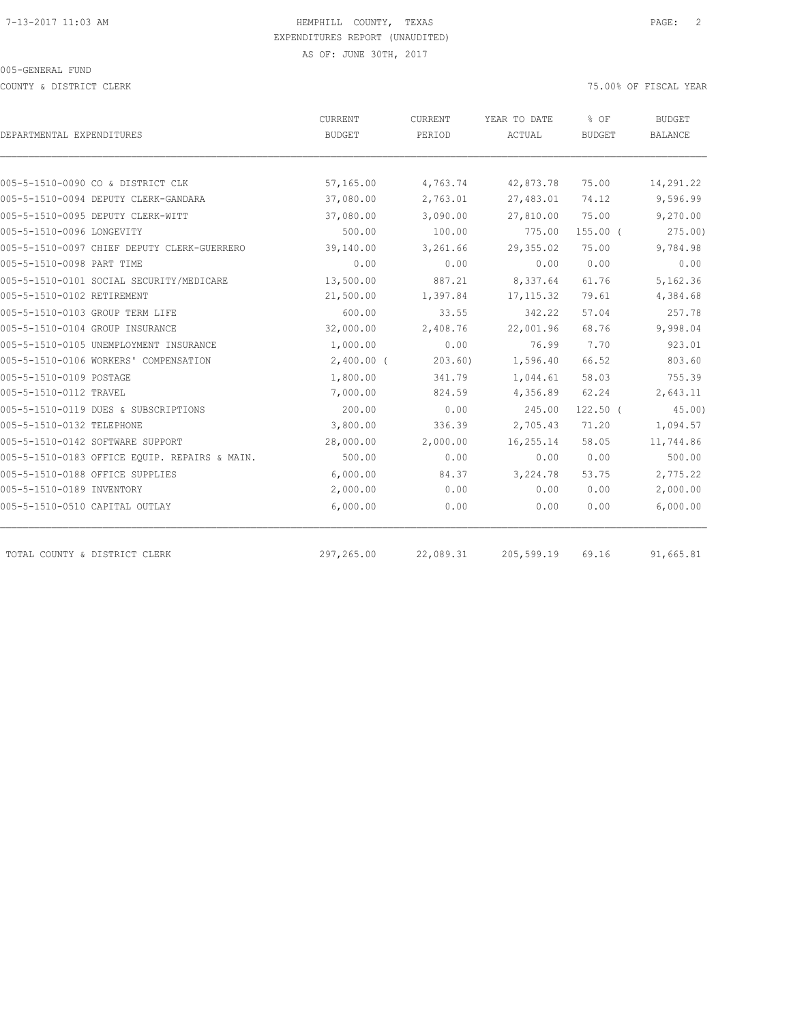COUNTY & DISTRICT CLERK 75.00% OF FISCAL YEAR

|                                               | <b>CURRENT</b> | CURRENT   | YEAR TO DATE | % OF          | <b>BUDGET</b> |  |
|-----------------------------------------------|----------------|-----------|--------------|---------------|---------------|--|
| DEPARTMENTAL EXPENDITURES                     | <b>BUDGET</b>  | PERIOD    | ACTUAL       | <b>BUDGET</b> | BALANCE       |  |
|                                               |                |           |              |               |               |  |
| 005-5-1510-0090 CO & DISTRICT CLK             | 57,165.00      | 4,763.74  | 42,873.78    | 75.00         | 14,291.22     |  |
| 005-5-1510-0094 DEPUTY CLERK-GANDARA          | 37,080.00      | 2,763.01  | 27,483.01    | 74.12         | 9,596.99      |  |
| 005-5-1510-0095 DEPUTY CLERK-WITT             | 37,080.00      | 3,090.00  | 27,810.00    | 75.00         | 9,270.00      |  |
| 005-5-1510-0096 LONGEVITY                     | 500.00         | 100.00    | 775.00       | $155.00$ (    | 275.00        |  |
| 005-5-1510-0097 CHIEF DEPUTY CLERK-GUERRERO   | 39,140.00      | 3,261.66  | 29,355.02    | 75.00         | 9,784.98      |  |
| 005-5-1510-0098 PART TIME                     | 0.00           | 0.00      | 0.00         | 0.00          | 0.00          |  |
| 005-5-1510-0101 SOCIAL SECURITY/MEDICARE      | 13,500.00      | 887.21    | 8,337.64     | 61.76         | 5,162.36      |  |
| 005-5-1510-0102 RETIREMENT                    | 21,500.00      | 1,397.84  | 17, 115.32   | 79.61         | 4,384.68      |  |
| 005-5-1510-0103 GROUP TERM LIFE               | 600.00         | 33.55     | 342.22       | 57.04         | 257.78        |  |
| 005-5-1510-0104 GROUP INSURANCE               | 32,000.00      | 2,408.76  | 22,001.96    | 68.76         | 9,998.04      |  |
| 005-5-1510-0105 UNEMPLOYMENT INSURANCE        | 1,000.00       | 0.00      | 76.99        | 7.70          | 923.01        |  |
| 005-5-1510-0106 WORKERS' COMPENSATION         | $2,400.00$ (   | 203.60    | 1,596.40     | 66.52         | 803.60        |  |
| 005-5-1510-0109 POSTAGE                       | 1,800.00       | 341.79    | 1,044.61     | 58.03         | 755.39        |  |
| 005-5-1510-0112 TRAVEL                        | 7,000.00       | 824.59    | 4,356.89     | 62.24         | 2,643.11      |  |
| 005-5-1510-0119 DUES & SUBSCRIPTIONS          | 200.00         | 0.00      | 245.00       | $122.50$ (    | 45.00         |  |
| 005-5-1510-0132 TELEPHONE                     | 3,800.00       | 336.39    | 2,705.43     | 71.20         | 1,094.57      |  |
| 005-5-1510-0142 SOFTWARE SUPPORT              | 28,000.00      | 2,000.00  | 16,255.14    | 58.05         | 11,744.86     |  |
| 005-5-1510-0183 OFFICE EQUIP. REPAIRS & MAIN. | 500.00         | 0.00      | 0.00         | 0.00          | 500.00        |  |
| 005-5-1510-0188 OFFICE SUPPLIES               | 6,000.00       | 84.37     | 3,224.78     | 53.75         | 2,775.22      |  |
| 005-5-1510-0189 INVENTORY                     | 2,000.00       | 0.00      | 0.00         | 0.00          | 2,000.00      |  |
| 005-5-1510-0510 CAPITAL OUTLAY                | 6,000.00       | 0.00      | 0.00         | 0.00          | 6,000.00      |  |
| TOTAL COUNTY & DISTRICT CLERK                 | 297,265.00     | 22,089.31 | 205,599.19   | 69.16         | 91,665.81     |  |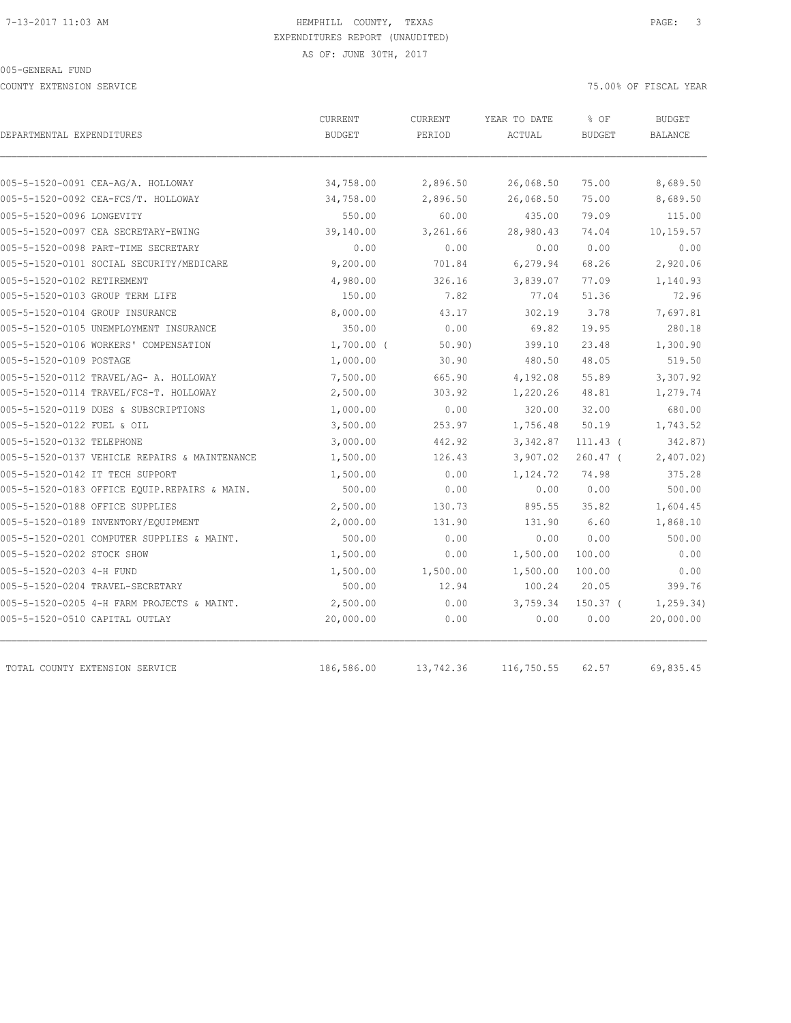COUNTY EXTENSION SERVICE 75.00% OF FISCAL YEAR

| DEPARTMENTAL EXPENDITURES                     | CURRENT       | CURRENT   | YEAR TO DATE | % OF          | <b>BUDGET</b>  |
|-----------------------------------------------|---------------|-----------|--------------|---------------|----------------|
|                                               | <b>BUDGET</b> | PERIOD    | ACTUAL       | <b>BUDGET</b> | <b>BALANCE</b> |
|                                               |               |           |              |               |                |
| 005-5-1520-0091 CEA-AG/A. HOLLOWAY            | 34,758.00     | 2,896.50  | 26,068.50    | 75.00         | 8,689.50       |
| 005-5-1520-0092 CEA-FCS/T. HOLLOWAY           | 34,758.00     | 2,896.50  | 26,068.50    | 75.00         | 8,689.50       |
| 005-5-1520-0096 LONGEVITY                     | 550.00        | 60.00     | 435.00       | 79.09         | 115.00         |
| 005-5-1520-0097 CEA SECRETARY-EWING           | 39,140.00     | 3,261.66  | 28,980.43    | 74.04         | 10,159.57      |
| 005-5-1520-0098 PART-TIME SECRETARY           | 0.00          | 0.00      | 0.00         | 0.00          | 0.00           |
| 005-5-1520-0101 SOCIAL SECURITY/MEDICARE      | 9,200.00      | 701.84    | 6, 279.94    | 68.26         | 2,920.06       |
| 005-5-1520-0102 RETIREMENT                    | 4,980.00      | 326.16    | 3,839.07     | 77.09         | 1,140.93       |
| 005-5-1520-0103 GROUP TERM LIFE               | 150.00        | 7.82      | 77.04        | 51.36         | 72.96          |
| 005-5-1520-0104 GROUP INSURANCE               | 8,000.00      | 43.17     | 302.19       | 3.78          | 7,697.81       |
| 005-5-1520-0105 UNEMPLOYMENT INSURANCE        | 350.00        | 0.00      | 69.82        | 19.95         | 280.18         |
| 005-5-1520-0106 WORKERS' COMPENSATION         | $1,700.00$ (  | 50.90)    | 399.10       | 23.48         | 1,300.90       |
| 005-5-1520-0109 POSTAGE                       | 1,000.00      | 30.90     | 480.50       | 48.05         | 519.50         |
| 005-5-1520-0112 TRAVEL/AG- A. HOLLOWAY        | 7,500.00      | 665.90    | 4,192.08     | 55.89         | 3,307.92       |
| 005-5-1520-0114 TRAVEL/FCS-T. HOLLOWAY        | 2,500.00      | 303.92    | 1,220.26     | 48.81         | 1,279.74       |
| 005-5-1520-0119 DUES & SUBSCRIPTIONS          | 1,000.00      | 0.00      | 320.00       | 32.00         | 680.00         |
| 005-5-1520-0122 FUEL & OIL                    | 3,500.00      | 253.97    | 1,756.48     | 50.19         | 1,743.52       |
| 005-5-1520-0132 TELEPHONE                     | 3,000.00      | 442.92    | 3,342.87     | $111.43$ (    | 342.87)        |
| 005-5-1520-0137 VEHICLE REPAIRS & MAINTENANCE | 1,500.00      | 126.43    | 3,907.02     | $260.47$ (    | 2,407.02       |
| 005-5-1520-0142 IT TECH SUPPORT               | 1,500.00      | 0.00      | 1,124.72     | 74.98         | 375.28         |
| 005-5-1520-0183 OFFICE EQUIP.REPAIRS & MAIN.  | 500.00        | 0.00      | 0.00         | 0.00          | 500.00         |
| 005-5-1520-0188 OFFICE SUPPLIES               | 2,500.00      | 130.73    | 895.55       | 35.82         | 1,604.45       |
| 005-5-1520-0189 INVENTORY/EQUIPMENT           | 2,000.00      | 131.90    | 131.90       | 6.60          | 1,868.10       |
| 005-5-1520-0201 COMPUTER SUPPLIES & MAINT.    | 500.00        | 0.00      | 0.00         | 0.00          | 500.00         |
| 005-5-1520-0202 STOCK SHOW                    | 1,500.00      | 0.00      | 1,500.00     | 100.00        | 0.00           |
| 005-5-1520-0203 4-H FUND                      | 1,500.00      | 1,500.00  | 1,500.00     | 100.00        | 0.00           |
| 005-5-1520-0204 TRAVEL-SECRETARY              | 500.00        | 12.94     | 100.24       | 20.05         | 399.76         |
| 005-5-1520-0205 4-H FARM PROJECTS & MAINT.    | 2,500.00      | 0.00      | 3,759.34     | $150.37$ (    | 1, 259.34)     |
| 005-5-1520-0510 CAPITAL OUTLAY                | 20,000.00     | 0.00      | 0.00         | 0.00          | 20,000.00      |
|                                               |               |           |              |               |                |
| TOTAL COUNTY EXTENSION SERVICE                | 186,586.00    | 13,742.36 | 116,750.55   | 62.57         | 69,835.45      |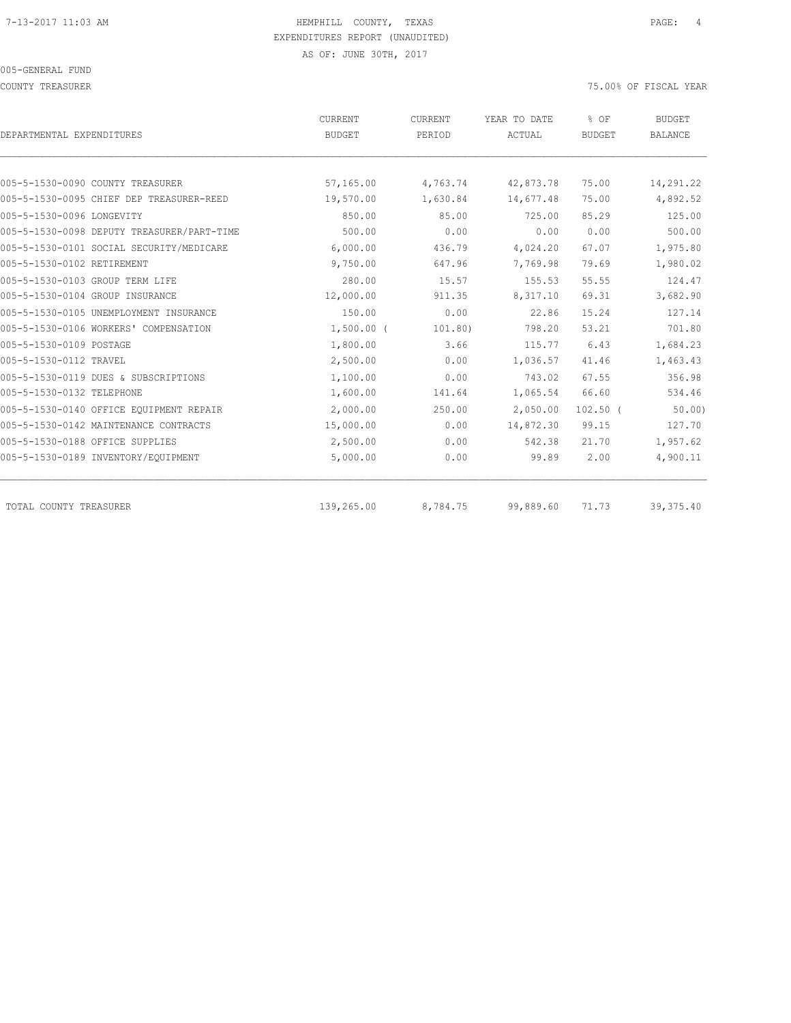005-GENERAL FUND

COUNTY TREASURER 75.00% OF FISCAL YEAR

|                                            | <b>CURRENT</b> | CURRENT  | YEAR TO DATE | % OF          | <b>BUDGET</b>  |
|--------------------------------------------|----------------|----------|--------------|---------------|----------------|
| DEPARTMENTAL EXPENDITURES                  | <b>BUDGET</b>  | PERIOD   | ACTUAL       | <b>BUDGET</b> | <b>BALANCE</b> |
|                                            |                |          |              |               |                |
| 005-5-1530-0090 COUNTY TREASURER           | 57,165.00      | 4,763.74 | 42,873.78    | 75.00         | 14,291.22      |
| 005-5-1530-0095 CHIEF DEP TREASURER-REED   | 19,570.00      | 1,630.84 | 14,677.48    | 75.00         | 4,892.52       |
| 005-5-1530-0096 LONGEVITY                  | 850.00         | 85.00    | 725.00       | 85.29         | 125.00         |
| 005-5-1530-0098 DEPUTY TREASURER/PART-TIME | 500.00         | 0.00     | 0.00         | 0.00          | 500.00         |
| 005-5-1530-0101 SOCIAL SECURITY/MEDICARE   | 6,000.00       | 436.79   | 4,024.20     | 67.07         | 1,975.80       |
| 005-5-1530-0102 RETIREMENT                 | 9,750.00       | 647.96   | 7,769.98     | 79.69         | 1,980.02       |
| 005-5-1530-0103 GROUP TERM LIFE            | 280.00         | 15.57    | 155.53       | 55.55         | 124.47         |
| 005-5-1530-0104 GROUP INSURANCE            | 12,000.00      | 911.35   | 8,317.10     | 69.31         | 3,682.90       |
| 005-5-1530-0105 UNEMPLOYMENT INSURANCE     | 150.00         | 0.00     | 22.86        | 15.24         | 127.14         |
| 005-5-1530-0106 WORKERS' COMPENSATION      | $1,500.00$ (   | 101.80)  | 798.20       | 53.21         | 701.80         |
| 005-5-1530-0109 POSTAGE                    | 1,800.00       | 3.66     | 115.77       | 6.43          | 1,684.23       |
| 005-5-1530-0112 TRAVEL                     | 2,500.00       | 0.00     | 1,036.57     | 41.46         | 1,463.43       |
| 005-5-1530-0119 DUES & SUBSCRIPTIONS       | 1,100.00       | 0.00     | 743.02       | 67.55         | 356.98         |
| 005-5-1530-0132 TELEPHONE                  | 1,600.00       | 141.64   | 1,065.54     | 66.60         | 534.46         |
| 005-5-1530-0140 OFFICE EOUIPMENT REPAIR    | 2,000.00       | 250.00   | 2,050.00     | $102.50$ (    | 50.00          |
| 005-5-1530-0142 MAINTENANCE CONTRACTS      | 15,000.00      | 0.00     | 14,872.30    | 99.15         | 127.70         |
| 005-5-1530-0188 OFFICE SUPPLIES            | 2,500.00       | 0.00     | 542.38       | 21.70         | 1,957.62       |
| 005-5-1530-0189 INVENTORY/EQUIPMENT        | 5,000.00       | 0.00     | 99.89        | 2.00          | 4,900.11       |
|                                            |                |          |              |               |                |
| TOTAL COUNTY TREASURER                     | 139,265.00     | 8,784.75 | 99,889.60    | 71.73         | 39, 375.40     |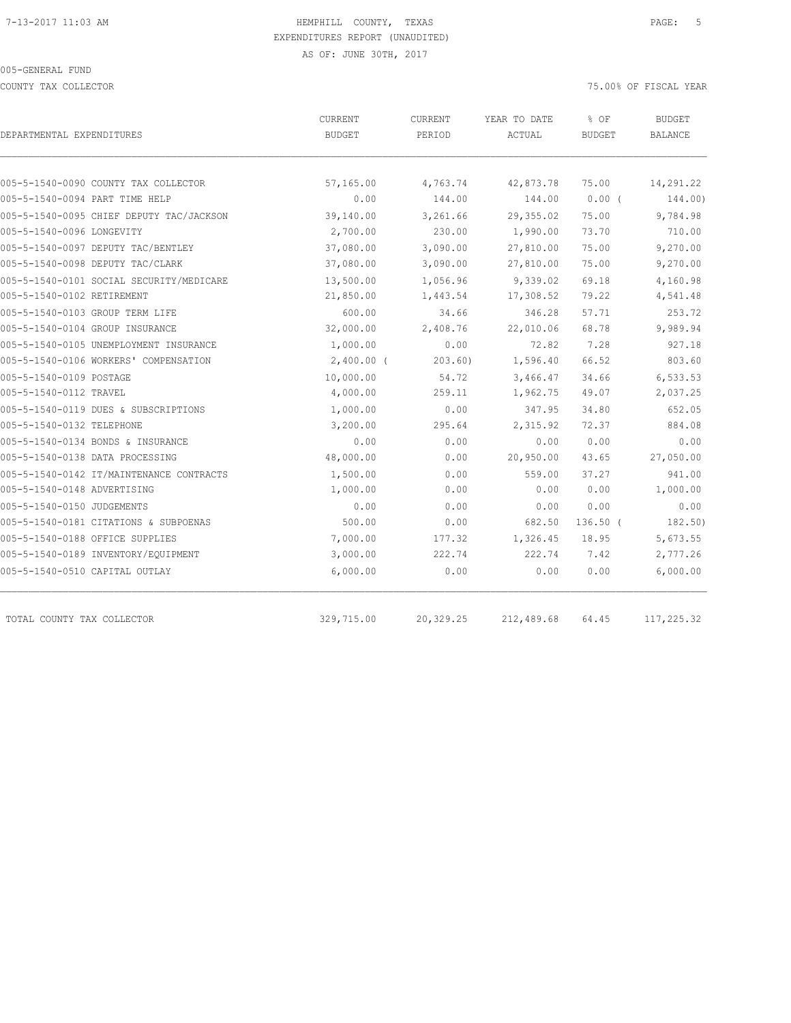COUNTY TAX COLLECTOR 75.00% OF FISCAL YEAR

| DEPARTMENTAL EXPENDITURES                | <b>CURRENT</b><br>BUDGET | <b>CURRENT</b><br>PERIOD | YEAR TO DATE<br>ACTUAL | % OF<br><b>BUDGET</b> | <b>BUDGET</b><br>BALANCE |
|------------------------------------------|--------------------------|--------------------------|------------------------|-----------------------|--------------------------|
| 005-5-1540-0090 COUNTY TAX COLLECTOR     | 57,165.00                | 4,763.74                 | 42,873.78              | 75.00                 | 14,291.22                |
| 005-5-1540-0094 PART TIME HELP           | 0.00                     | 144.00                   | 144.00                 | 0.00(                 | 144.00)                  |
| 005-5-1540-0095 CHIEF DEPUTY TAC/JACKSON | 39,140.00                | 3,261.66                 | 29,355.02              | 75.00                 | 9,784.98                 |
| 005-5-1540-0096 LONGEVITY                | 2,700.00                 | 230.00                   | 1,990.00               | 73.70                 | 710.00                   |
| 005-5-1540-0097 DEPUTY TAC/BENTLEY       | 37,080.00                | 3,090.00                 | 27,810.00              | 75.00                 | 9,270.00                 |
| 005-5-1540-0098 DEPUTY TAC/CLARK         | 37,080.00                | 3,090.00                 | 27,810.00              | 75.00                 | 9,270.00                 |
| 005-5-1540-0101 SOCIAL SECURITY/MEDICARE | 13,500.00                | 1,056.96                 | 9,339.02               | 69.18                 | 4,160.98                 |
| 005-5-1540-0102 RETIREMENT               | 21,850.00                | 1,443.54                 | 17,308.52              | 79.22                 | 4,541.48                 |
| 005-5-1540-0103 GROUP TERM LIFE          | 600.00                   | 34.66                    | 346.28                 | 57.71                 | 253.72                   |
| 005-5-1540-0104 GROUP INSURANCE          | 32,000.00                | 2,408.76                 | 22,010.06              | 68.78                 | 9,989.94                 |
| 005-5-1540-0105 UNEMPLOYMENT INSURANCE   | 1,000.00                 | 0.00                     | 72.82                  | 7.28                  | 927.18                   |
| 005-5-1540-0106 WORKERS' COMPENSATION    | $2,400.00$ (             | 203.60                   | 1,596.40               | 66.52                 | 803.60                   |
| 005-5-1540-0109 POSTAGE                  | 10,000.00                | 54.72                    | 3,466.47               | 34.66                 | 6,533.53                 |
| 005-5-1540-0112 TRAVEL                   | 4,000.00                 | 259.11                   | 1,962.75               | 49.07                 | 2,037.25                 |
| 005-5-1540-0119 DUES & SUBSCRIPTIONS     | 1,000.00                 | 0.00                     | 347.95                 | 34.80                 | 652.05                   |
| 005-5-1540-0132 TELEPHONE                | 3,200.00                 | 295.64                   | 2,315.92               | 72.37                 | 884.08                   |
| 005-5-1540-0134 BONDS & INSURANCE        | 0.00                     | 0.00                     | 0.00                   | 0.00                  | 0.00                     |
| 005-5-1540-0138 DATA PROCESSING          | 48,000.00                | 0.00                     | 20,950.00              | 43.65                 | 27,050.00                |
| 005-5-1540-0142 IT/MAINTENANCE CONTRACTS | 1,500.00                 | 0.00                     | 559.00                 | 37.27                 | 941.00                   |
| 005-5-1540-0148 ADVERTISING              | 1,000.00                 | 0.00                     | 0.00                   | 0.00                  | 1,000.00                 |
| 005-5-1540-0150 JUDGEMENTS               | 0.00                     | 0.00                     | 0.00                   | 0.00                  | 0.00                     |
| 005-5-1540-0181 CITATIONS & SUBPOENAS    | 500.00                   | 0.00                     | 682.50                 | $136.50$ (            | 182.50)                  |
| 005-5-1540-0188 OFFICE SUPPLIES          | 7,000.00                 | 177.32                   | 1,326.45               | 18.95                 | 5,673.55                 |
| 005-5-1540-0189 INVENTORY/EQUIPMENT      | 3,000.00                 | 222.74                   | 222.74                 | 7.42                  | 2,777.26                 |
| 005-5-1540-0510 CAPITAL OUTLAY           | 6,000.00                 | 0.00                     | 0.00                   | 0.00                  | 6,000.00                 |
| TOTAL COUNTY TAX COLLECTOR               | 329,715.00               | 20,329.25                | 212,489.68             | 64.45                 | 117,225.32               |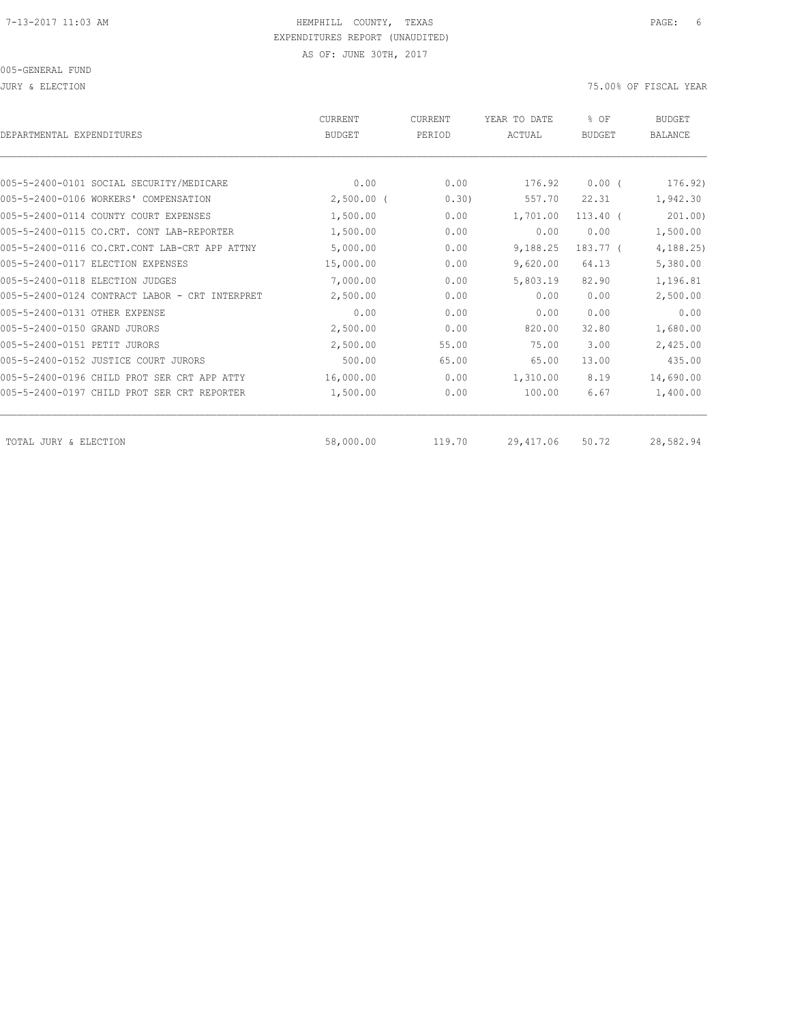JURY & ELECTION 75.00% OF FISCAL YEAR

| DEPARTMENTAL EXPENDITURES                      | <b>CURRENT</b><br><b>BUDGET</b> | <b>CURRENT</b><br>PERIOD | YEAR TO DATE<br>ACTUAL | $8$ OF<br><b>BUDGET</b> | <b>BUDGET</b><br><b>BALANCE</b> |
|------------------------------------------------|---------------------------------|--------------------------|------------------------|-------------------------|---------------------------------|
|                                                |                                 |                          |                        |                         |                                 |
| 005-5-2400-0101 SOCIAL SECURITY/MEDICARE       | 0.00                            | 0.00                     | 176.92                 | $0.00$ (                | 176.92)                         |
| 005-5-2400-0106 WORKERS' COMPENSATION          | $2,500.00$ (                    | 0.30)                    | 557.70                 | 22.31                   | 1,942.30                        |
| 005-5-2400-0114 COUNTY COURT EXPENSES          | 1,500.00                        | 0.00                     | 1,701.00               | $113.40$ (              | 201.00                          |
| 005-5-2400-0115 CO.CRT. CONT LAB-REPORTER      | 1,500.00                        | 0.00                     | 0.00                   | 0.00                    | 1,500.00                        |
| 005-5-2400-0116 CO.CRT.CONT LAB-CRT APP ATTNY  | 5,000.00                        | 0.00                     | 9,188.25               | 183.77 (                | 4, 188.25                       |
| 005-5-2400-0117 ELECTION EXPENSES              | 15,000.00                       | 0.00                     | 9,620.00               | 64.13                   | 5,380.00                        |
| 005-5-2400-0118 ELECTION JUDGES                | 7,000.00                        | 0.00                     | 5,803.19               | 82.90                   | 1,196.81                        |
| 005-5-2400-0124 CONTRACT LABOR - CRT INTERPRET | 2,500.00                        | 0.00                     | 0.00                   | 0.00                    | 2,500.00                        |
| 005-5-2400-0131 OTHER EXPENSE                  | 0.00                            | 0.00                     | 0.00                   | 0.00                    | 0.00                            |
| 005-5-2400-0150 GRAND JURORS                   | 2,500.00                        | 0.00                     | 820.00                 | 32.80                   | 1,680.00                        |
| 005-5-2400-0151 PETIT JURORS                   | 2,500.00                        | 55.00                    | 75.00                  | 3.00                    | 2,425.00                        |
| 005-5-2400-0152 JUSTICE COURT JURORS           | 500.00                          | 65.00                    | 65.00                  | 13.00                   | 435.00                          |
| 005-5-2400-0196 CHILD PROT SER CRT APP ATTY    | 16,000.00                       | 0.00                     | 1,310.00               | 8.19                    | 14,690.00                       |
| 005-5-2400-0197 CHILD PROT SER CRT REPORTER    | 1,500.00                        | 0.00                     | 100.00                 | 6.67                    | 1,400.00                        |
| TOTAL JURY & ELECTION                          | 58,000.00                       | 119.70                   | 29, 417.06             | 50.72                   | 28,582.94                       |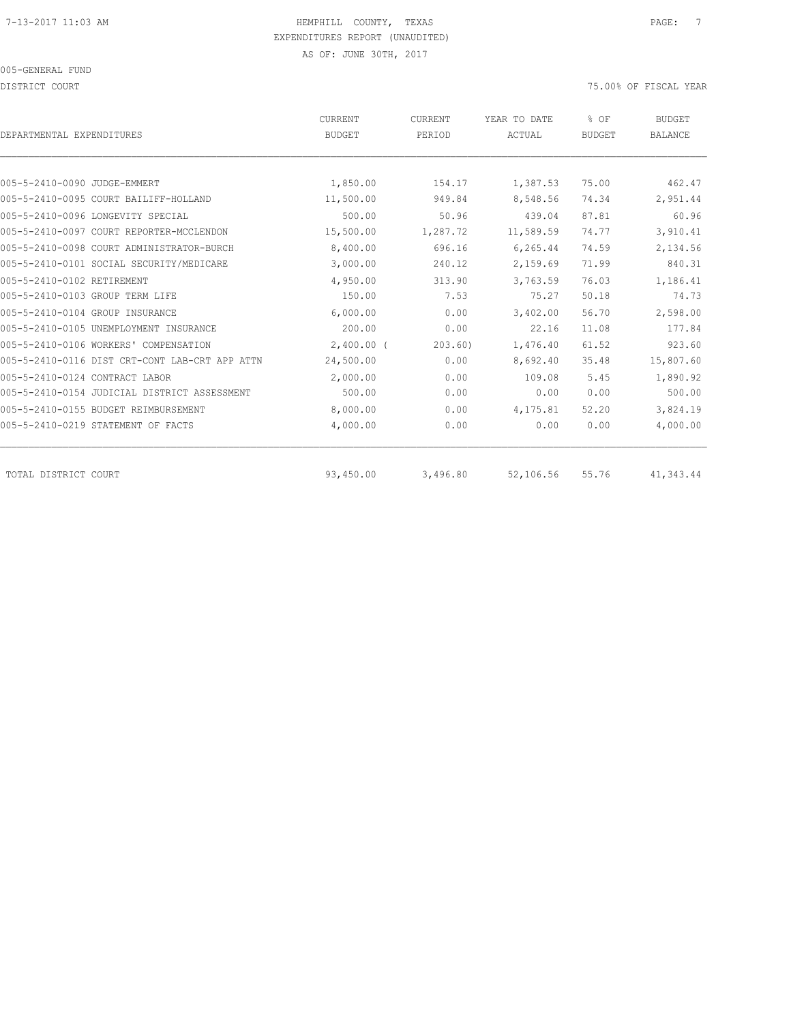DISTRICT COURT 75.00% OF FISCAL YEAR

| DEPARTMENTAL EXPENDITURES                      | <b>CURRENT</b><br><b>BUDGET</b> | CURRENT<br>PERIOD | YEAR TO DATE<br>ACTUAL | % OF<br><b>BUDGET</b> | <b>BUDGET</b><br><b>BALANCE</b> |
|------------------------------------------------|---------------------------------|-------------------|------------------------|-----------------------|---------------------------------|
|                                                |                                 |                   |                        |                       |                                 |
| 005-5-2410-0090 JUDGE-EMMERT                   | 1,850.00                        | 154.17            | 1,387.53               | 75.00                 | 462.47                          |
| 005-5-2410-0095 COURT BAILIFF-HOLLAND          | 11,500.00                       | 949.84            | 8,548.56               | 74.34                 | 2,951.44                        |
| 005-5-2410-0096 LONGEVITY SPECIAL              | 500.00                          | 50.96             | 439.04                 | 87.81                 | 60.96                           |
| 005-5-2410-0097 COURT REPORTER-MCCLENDON       | 15,500.00                       | 1,287.72          | 11,589.59              | 74.77                 | 3,910.41                        |
| 005-5-2410-0098 COURT ADMINISTRATOR-BURCH      | 8,400.00                        | 696.16            | 6,265.44               | 74.59                 | 2,134.56                        |
| 005-5-2410-0101 SOCIAL SECURITY/MEDICARE       | 3,000.00                        | 240.12            | 2,159.69               | 71.99                 | 840.31                          |
| 005-5-2410-0102 RETIREMENT                     | 4,950.00                        | 313.90            | 3,763.59               | 76.03                 | 1,186.41                        |
| 005-5-2410-0103 GROUP TERM LIFE                | 150.00                          | 7.53              | 75.27                  | 50.18                 | 74.73                           |
| 005-5-2410-0104 GROUP INSURANCE                | 6,000.00                        | 0.00              | 3,402.00               | 56.70                 | 2,598.00                        |
| 005-5-2410-0105 UNEMPLOYMENT INSURANCE         | 200.00                          | 0.00              | 22.16                  | 11.08                 | 177.84                          |
| 005-5-2410-0106 WORKERS' COMPENSATION          | $2,400.00$ (                    | 203.60            | 1,476.40               | 61.52                 | 923.60                          |
| 005-5-2410-0116 DIST CRT-CONT LAB-CRT APP ATTN | 24,500.00                       | 0.00              | 8,692.40               | 35.48                 | 15,807.60                       |
| 005-5-2410-0124 CONTRACT LABOR                 | 2,000.00                        | 0.00              | 109.08                 | 5.45                  | 1,890.92                        |
| 005-5-2410-0154 JUDICIAL DISTRICT ASSESSMENT   | 500.00                          | 0.00              | 0.00                   | 0.00                  | 500.00                          |
| 005-5-2410-0155 BUDGET REIMBURSEMENT           | 8,000.00                        | 0.00              | 4,175.81               | 52.20                 | 3,824.19                        |
| 005-5-2410-0219 STATEMENT OF FACTS             | 4,000.00                        | 0.00              | 0.00                   | 0.00                  | 4,000.00                        |
| TOTAL DISTRICT COURT                           | 93,450.00                       | 3,496.80          | 52,106.56              | 55.76                 | 41,343.44                       |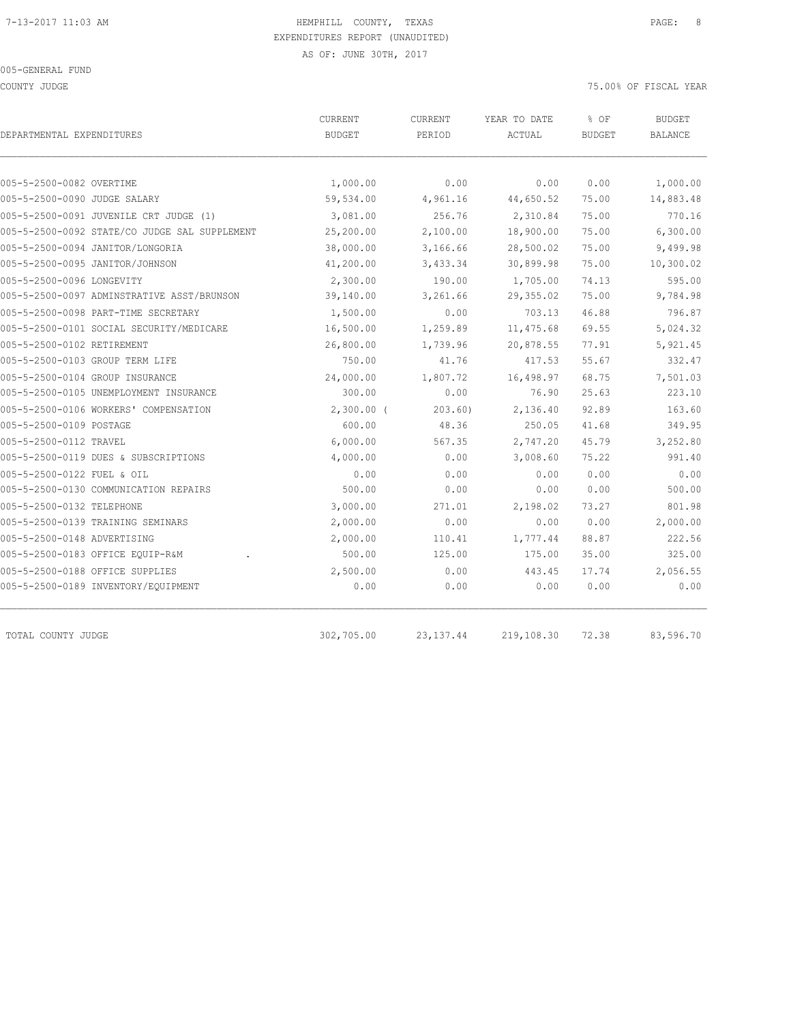COUNTY JUDGE 75.00% OF FISCAL YEAR

| DEPARTMENTAL EXPENDITURES                     | CURRENT<br><b>BUDGET</b> | CURRENT<br>PERIOD | YEAR TO DATE<br>ACTUAL | % OF<br><b>BUDGET</b> | <b>BUDGET</b><br>BALANCE |
|-----------------------------------------------|--------------------------|-------------------|------------------------|-----------------------|--------------------------|
|                                               |                          |                   |                        |                       |                          |
| 005-5-2500-0082 OVERTIME                      | 1,000.00                 | 0.00              | 0.00                   | 0.00                  | 1,000.00                 |
| 005-5-2500-0090 JUDGE SALARY                  | 59,534.00                | 4,961.16          | 44,650.52              | 75.00                 | 14,883.48                |
| 005-5-2500-0091 JUVENILE CRT JUDGE (1)        | 3,081.00                 | 256.76            | 2,310.84               | 75.00                 | 770.16                   |
| 005-5-2500-0092 STATE/CO JUDGE SAL SUPPLEMENT | 25,200.00                | 2,100.00          | 18,900.00              | 75.00                 | 6,300.00                 |
| 005-5-2500-0094 JANITOR/LONGORIA              | 38,000.00                | 3,166.66          | 28,500.02              | 75.00                 | 9,499.98                 |
| 005-5-2500-0095 JANITOR/JOHNSON               | 41,200.00                | 3,433.34          | 30,899.98              | 75.00                 | 10,300.02                |
| 005-5-2500-0096 LONGEVITY                     | 2,300.00                 | 190.00            | 1,705.00               | 74.13                 | 595.00                   |
| 005-5-2500-0097 ADMINSTRATIVE ASST/BRUNSON    | 39,140.00                | 3,261.66          | 29, 355.02             | 75.00                 | 9,784.98                 |
| 005-5-2500-0098 PART-TIME SECRETARY           | 1,500.00                 | 0.00              | 703.13                 | 46.88                 | 796.87                   |
| 005-5-2500-0101 SOCIAL SECURITY/MEDICARE      | 16,500.00                | 1,259.89          | 11, 475.68             | 69.55                 | 5,024.32                 |
| 005-5-2500-0102 RETIREMENT                    | 26,800.00                | 1,739.96          | 20,878.55              | 77.91                 | 5,921.45                 |
| 005-5-2500-0103 GROUP TERM LIFE               | 750.00                   | 41.76             | 417.53                 | 55.67                 | 332.47                   |
| 005-5-2500-0104 GROUP INSURANCE               | 24,000.00                | 1,807.72          | 16,498.97              | 68.75                 | 7,501.03                 |
| 005-5-2500-0105 UNEMPLOYMENT INSURANCE        | 300.00                   | 0.00              | 76.90                  | 25.63                 | 223.10                   |
| 005-5-2500-0106 WORKERS' COMPENSATION         | $2,300.00$ (             | 203.60            | 2,136.40               | 92.89                 | 163.60                   |
| 005-5-2500-0109 POSTAGE                       | 600.00                   | 48.36             | 250.05                 | 41.68                 | 349.95                   |
| 005-5-2500-0112 TRAVEL                        | 6,000.00                 | 567.35            | 2,747.20               | 45.79                 | 3,252.80                 |
| 005-5-2500-0119 DUES & SUBSCRIPTIONS          | 4,000.00                 | 0.00              | 3,008.60               | 75.22                 | 991.40                   |
| 005-5-2500-0122 FUEL & OIL                    | 0.00                     | 0.00              | 0.00                   | 0.00                  | 0.00                     |
| 005-5-2500-0130 COMMUNICATION REPAIRS         | 500.00                   | 0.00              | 0.00                   | 0.00                  | 500.00                   |
| 005-5-2500-0132 TELEPHONE                     | 3,000.00                 | 271.01            | 2,198.02               | 73.27                 | 801.98                   |
| 005-5-2500-0139 TRAINING SEMINARS             | 2,000.00                 | 0.00              | 0.00                   | 0.00                  | 2,000.00                 |
| 005-5-2500-0148 ADVERTISING                   | 2,000.00                 | 110.41            | 1,777.44               | 88.87                 | 222.56                   |
| 005-5-2500-0183 OFFICE EQUIP-R&M              | 500.00                   | 125.00            | 175.00                 | 35.00                 | 325.00                   |
| 005-5-2500-0188 OFFICE SUPPLIES               | 2,500.00                 | 0.00              | 443.45                 | 17.74                 | 2,056.55                 |
| 005-5-2500-0189 INVENTORY/EQUIPMENT           | 0.00                     | 0.00              | 0.00                   | 0.00                  | 0.00                     |
| TOTAL COUNTY JUDGE                            | 302,705.00               | 23, 137.44        | 219,108.30             | 72.38                 | 83,596.70                |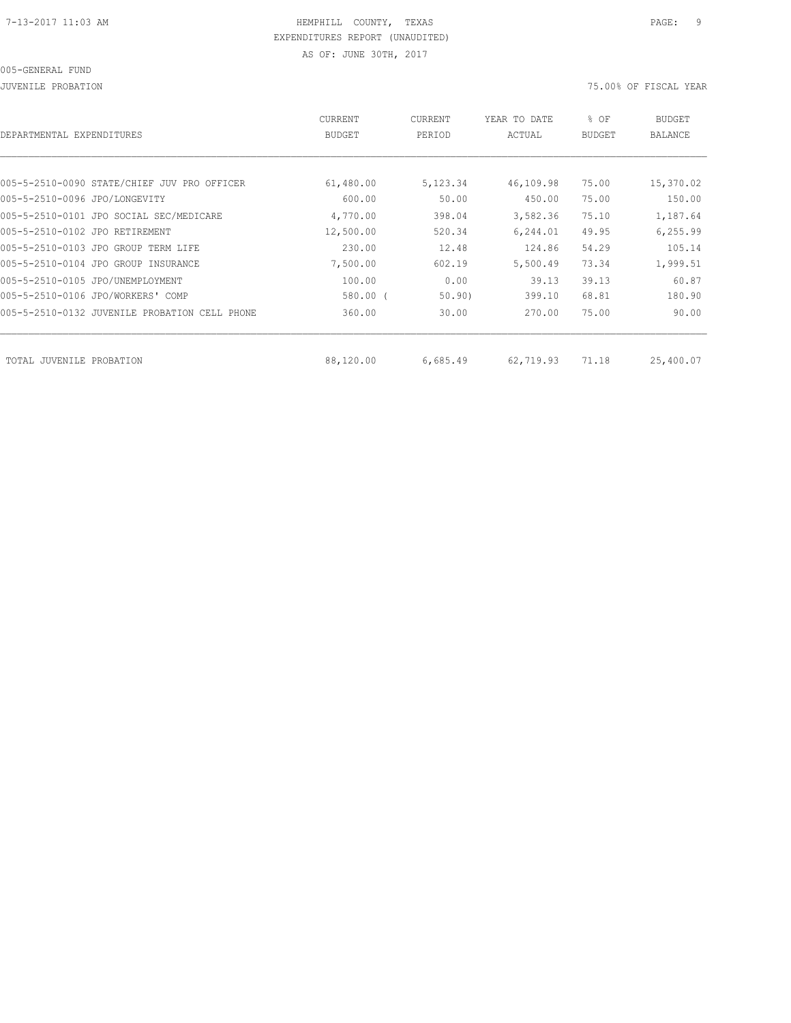JUVENILE PROBATION 75.00% OF FISCAL YEAR

| DEPARTMENTAL EXPENDITURES                     | CURRENT<br><b>BUDGET</b> | CURRENT<br>PERIOD | YEAR TO DATE<br>ACTUAL | % OF<br><b>BUDGET</b> | <b>BUDGET</b><br><b>BALANCE</b> |
|-----------------------------------------------|--------------------------|-------------------|------------------------|-----------------------|---------------------------------|
|                                               |                          |                   |                        |                       |                                 |
| 005-5-2510-0090 STATE/CHIEF JUV PRO OFFICER   | 61,480.00                | 5,123.34          | 46,109.98              | 75.00                 | 15,370.02                       |
| 005-5-2510-0096 JPO/LONGEVITY                 | 600.00                   | 50.00             | 450.00                 | 75.00                 | 150.00                          |
| 005-5-2510-0101 JPO SOCIAL SEC/MEDICARE       | 4,770.00                 | 398.04            | 3,582.36               | 75.10                 | 1,187.64                        |
| 005-5-2510-0102 JPO RETIREMENT                | 12,500.00                | 520.34            | 6, 244.01              | 49.95                 | 6, 255.99                       |
| 005-5-2510-0103 JPO GROUP TERM LIFE           | 230.00                   | 12.48             | 124.86                 | 54.29                 | 105.14                          |
| 005-5-2510-0104 JPO GROUP INSURANCE           | 7,500.00                 | 602.19            | 5,500.49               | 73.34                 | 1,999.51                        |
| 005-5-2510-0105 JPO/UNEMPLOYMENT              | 100.00                   | 0.00              | 39.13                  | 39.13                 | 60.87                           |
| 005-5-2510-0106 JPO/WORKERS' COMP             | 580.00 (                 | 50.90             | 399.10                 | 68.81                 | 180.90                          |
| 005-5-2510-0132 JUVENILE PROBATION CELL PHONE | 360.00                   | 30.00             | 270.00                 | 75.00                 | 90.00                           |
|                                               |                          |                   |                        |                       |                                 |
| TOTAL JUVENILE<br>PROBATION                   | 88,120.00                | 6,685.49          | 62,719.93              | 71.18                 | 25,400.07                       |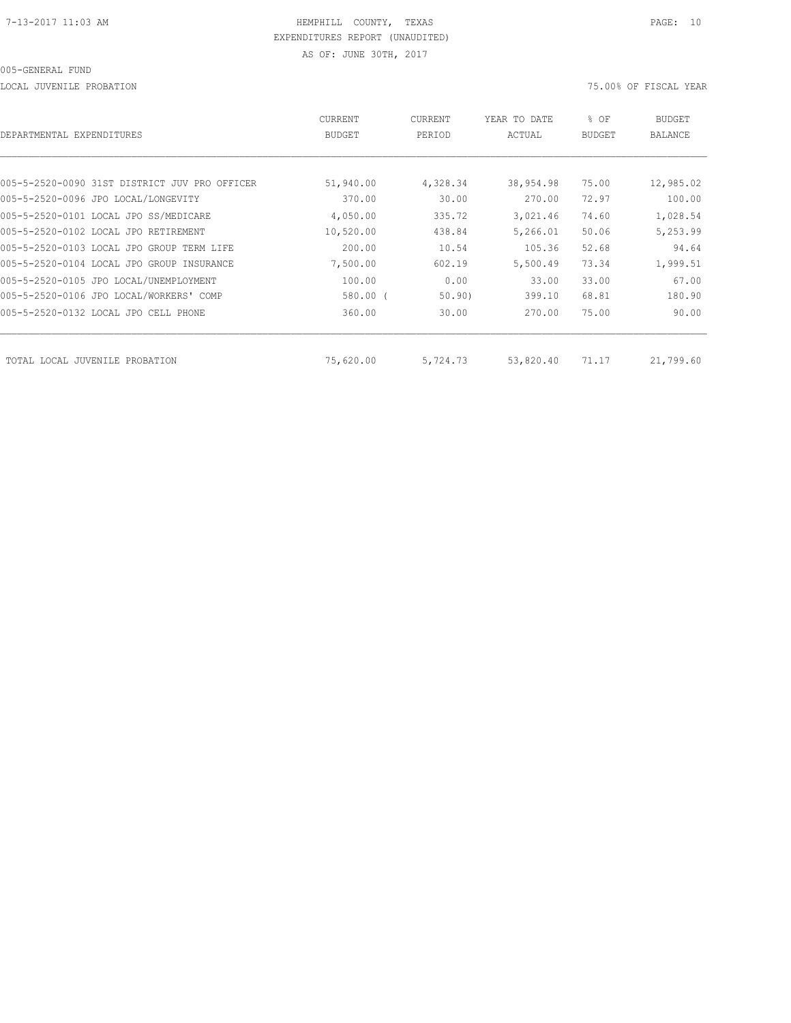LOCAL JUVENILE PROBATION 75.00% OF FISCAL YEAR

| DEPARTMENTAL EXPENDITURES                     | CURRENT<br><b>BUDGET</b> | CURRENT<br>PERIOD | YEAR TO DATE<br>ACTUAL | % OF<br><b>BUDGET</b> | BUDGET<br><b>BALANCE</b> |
|-----------------------------------------------|--------------------------|-------------------|------------------------|-----------------------|--------------------------|
|                                               |                          |                   |                        |                       |                          |
| 005-5-2520-0090 31ST DISTRICT JUV PRO OFFICER | 51,940.00                | 4,328.34          | 38,954.98              | 75.00                 | 12,985.02                |
| 005-5-2520-0096 JPO LOCAL/LONGEVITY           | 370.00                   | 30.00             | 270.00                 | 72.97                 | 100.00                   |
| 005-5-2520-0101 LOCAL JPO SS/MEDICARE         | 4,050.00                 | 335.72            | 3,021.46               | 74.60                 | 1,028.54                 |
| 005-5-2520-0102 LOCAL JPO RETIREMENT          | 10,520.00                | 438.84            | 5,266.01               | 50.06                 | 5,253.99                 |
| 005-5-2520-0103 LOCAL JPO GROUP TERM LIFE     | 200.00                   | 10.54             | 105.36                 | 52.68                 | 94.64                    |
| 005-5-2520-0104 LOCAL JPO GROUP INSURANCE     | 7,500.00                 | 602.19            | 5,500.49               | 73.34                 | 1,999.51                 |
| 005-5-2520-0105 JPO LOCAL/UNEMPLOYMENT        | 100.00                   | 0.00              | 33.00                  | 33.00                 | 67.00                    |
| 005-5-2520-0106 JPO LOCAL/WORKERS' COMP       | 580.00 (                 | 50.90             | 399.10                 | 68.81                 | 180.90                   |
| 005-5-2520-0132 LOCAL JPO CELL PHONE          | 360.00                   | 30.00             | 270.00                 | 75.00                 | 90.00                    |
| TOTAL LOCAL JUVENILE PROBATION                | 75,620.00                | 5,724.73          | 53,820.40              | 71.17                 | 21,799.60                |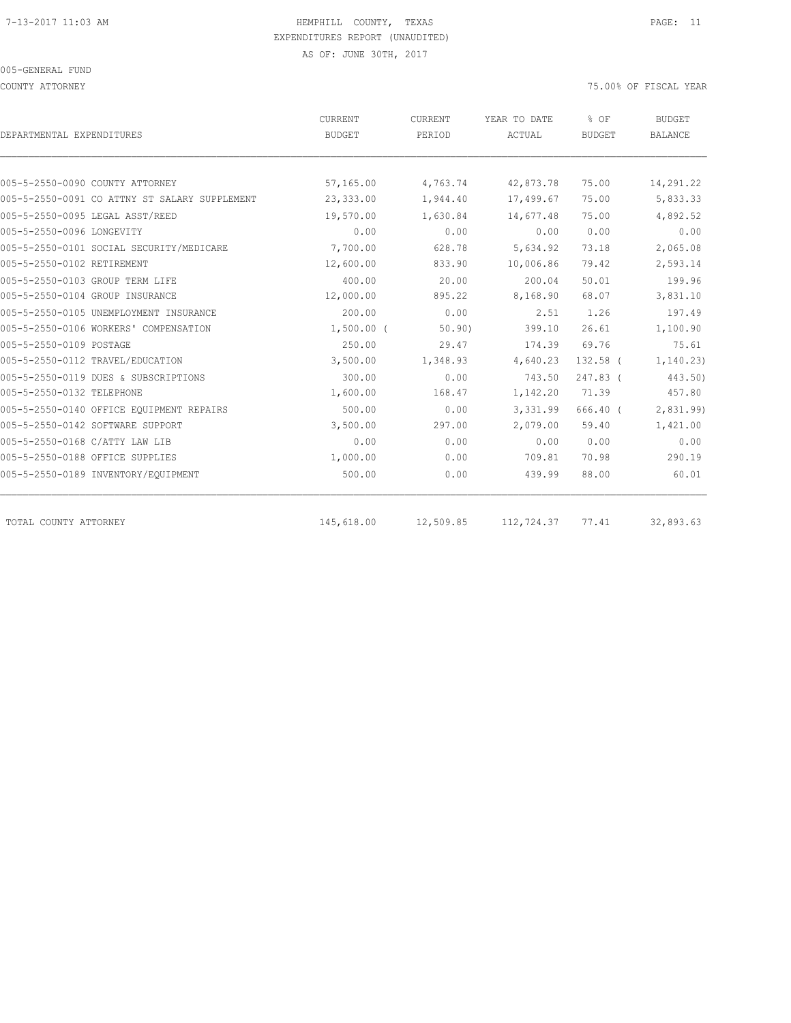COUNTY ATTORNEY 75.00% OF FISCAL YEAR

| DEPARTMENTAL EXPENDITURES                     | CURRENT<br><b>BUDGET</b> | CURRENT<br>PERIOD | YEAR TO DATE<br>ACTUAL | % OF<br><b>BUDGET</b> | <b>BUDGET</b><br><b>BALANCE</b> |
|-----------------------------------------------|--------------------------|-------------------|------------------------|-----------------------|---------------------------------|
|                                               |                          |                   |                        |                       |                                 |
| 005-5-2550-0090 COUNTY ATTORNEY               | 57,165.00                | 4,763.74          | 42,873.78              | 75.00                 | 14,291.22                       |
| 005-5-2550-0091 CO ATTNY ST SALARY SUPPLEMENT | 23,333.00                | 1,944.40          | 17,499.67              | 75.00                 | 5,833.33                        |
| 005-5-2550-0095 LEGAL ASST/REED               | 19,570.00                | 1,630.84          | 14,677.48              | 75.00                 | 4,892.52                        |
| 005-5-2550-0096 LONGEVITY                     | 0.00                     | 0.00              | 0.00                   | 0.00                  | 0.00                            |
| 005-5-2550-0101 SOCIAL SECURITY/MEDICARE      | 7,700.00                 | 628.78            | 5,634.92               | 73.18                 | 2,065.08                        |
| 005-5-2550-0102 RETIREMENT                    | 12,600.00                | 833.90            | 10,006.86              | 79.42                 | 2,593.14                        |
| 005-5-2550-0103 GROUP TERM LIFE               | 400.00                   | 20.00             | 200.04                 | 50.01                 | 199.96                          |
| 005-5-2550-0104 GROUP INSURANCE               | 12,000.00                | 895.22            | 8,168.90               | 68.07                 | 3,831.10                        |
| 005-5-2550-0105 UNEMPLOYMENT INSURANCE        | 200.00                   | 0.00              | 2.51                   | 1.26                  | 197.49                          |
| 005-5-2550-0106 WORKERS' COMPENSATION         | $1,500.00$ (             | 50.90)            | 399.10                 | 26.61                 | 1,100.90                        |
| 005-5-2550-0109 POSTAGE                       | 250.00                   | 29.47             | 174.39                 | 69.76                 | 75.61                           |
| 005-5-2550-0112 TRAVEL/EDUCATION              | 3,500.00                 | 1,348.93          | 4,640.23               | $132.58$ (            | 1, 140.23)                      |
| 005-5-2550-0119 DUES & SUBSCRIPTIONS          | 300.00                   | 0.00              | 743.50                 | 247.83 (              | 443.50)                         |
| 005-5-2550-0132 TELEPHONE                     | 1,600.00                 | 168.47            | 1,142.20               | 71.39                 | 457.80                          |
| 005-5-2550-0140 OFFICE EQUIPMENT REPAIRS      | 500.00                   | 0.00              | 3,331.99               | 666.40 (              | 2,831.99)                       |
| 005-5-2550-0142 SOFTWARE SUPPORT              | 3,500.00                 | 297.00            | 2,079.00               | 59.40                 | 1,421.00                        |
| 005-5-2550-0168 C/ATTY LAW LIB                | 0.00                     | 0.00              | 0.00                   | 0.00                  | 0.00                            |
| 005-5-2550-0188 OFFICE SUPPLIES               | 1,000.00                 | 0.00              | 709.81                 | 70.98                 | 290.19                          |
| 005-5-2550-0189 INVENTORY/EQUIPMENT           | 500.00                   | 0.00              | 439.99                 | 88.00                 | 60.01                           |
| TOTAL COUNTY ATTORNEY                         | 145,618.00               | 12,509.85         | 112,724.37             | 77.41                 | 32,893.63                       |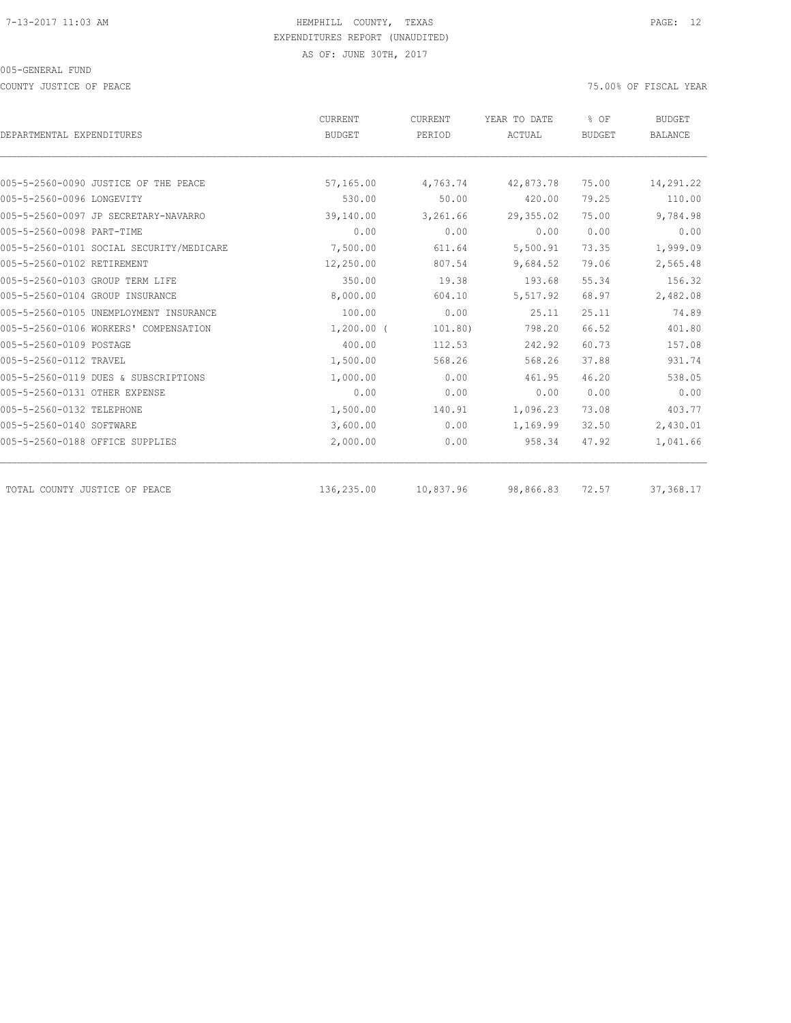COUNTY JUSTICE OF PEACE THE SERVICE OF PEACE AND TO A SERVICE THE SERVICE OF FISCAL YEAR OF FISCAL YEAR

| DEPARTMENTAL EXPENDITURES                | CURRENT<br><b>BUDGET</b> | CURRENT<br>PERIOD | YEAR TO DATE<br>ACTUAL | % OF<br><b>BUDGET</b> | <b>BUDGET</b><br><b>BALANCE</b> |
|------------------------------------------|--------------------------|-------------------|------------------------|-----------------------|---------------------------------|
|                                          |                          |                   |                        |                       |                                 |
| 005-5-2560-0090 JUSTICE OF THE PEACE     | 57,165.00                | 4,763.74          | 42,873.78              | 75.00                 | 14,291.22                       |
| 005-5-2560-0096 LONGEVITY                | 530.00                   | 50.00             | 420.00                 | 79.25                 | 110.00                          |
| 005-5-2560-0097 JP SECRETARY-NAVARRO     | 39,140.00                | 3,261.66          | 29,355.02              | 75.00                 | 9,784.98                        |
| 005-5-2560-0098 PART-TIME                | 0.00                     | 0.00              | 0.00                   | 0.00                  | 0.00                            |
| 005-5-2560-0101 SOCIAL SECURITY/MEDICARE | 7,500.00                 | 611.64            | 5,500.91               | 73.35                 | 1,999.09                        |
| 005-5-2560-0102 RETIREMENT               | 12,250.00                | 807.54            | 9,684.52               | 79.06                 | 2,565.48                        |
| 005-5-2560-0103 GROUP TERM LIFE          | 350.00                   | 19.38             | 193.68                 | 55.34                 | 156.32                          |
| 005-5-2560-0104 GROUP INSURANCE          | 8,000.00                 | 604.10            | 5,517.92               | 68.97                 | 2,482.08                        |
| 005-5-2560-0105 UNEMPLOYMENT INSURANCE   | 100.00                   | 0.00              | 25.11                  | 25.11                 | 74.89                           |
| 005-5-2560-0106 WORKERS' COMPENSATION    | $1,200.00$ (             | 101.80)           | 798.20                 | 66.52                 | 401.80                          |
| 005-5-2560-0109 POSTAGE                  | 400.00                   | 112.53            | 242.92                 | 60.73                 | 157.08                          |
| 005-5-2560-0112 TRAVEL                   | 1,500.00                 | 568.26            | 568.26                 | 37.88                 | 931.74                          |
| 005-5-2560-0119 DUES & SUBSCRIPTIONS     | 1,000.00                 | 0.00              | 461.95                 | 46.20                 | 538.05                          |
| 005-5-2560-0131 OTHER EXPENSE            | 0.00                     | 0.00              | 0.00                   | 0.00                  | 0.00                            |
| 005-5-2560-0132 TELEPHONE                | 1,500.00                 | 140.91            | 1,096.23               | 73.08                 | 403.77                          |
| 005-5-2560-0140 SOFTWARE                 | 3,600.00                 | 0.00              | 1,169.99               | 32.50                 | 2,430.01                        |
| 005-5-2560-0188 OFFICE SUPPLIES          | 2,000.00                 | 0.00              | 958.34                 | 47.92                 | 1,041.66                        |
| TOTAL COUNTY JUSTICE OF PEACE            | 136,235.00               | 10,837.96         | 98,866.83              | 72.57                 | 37,368.17                       |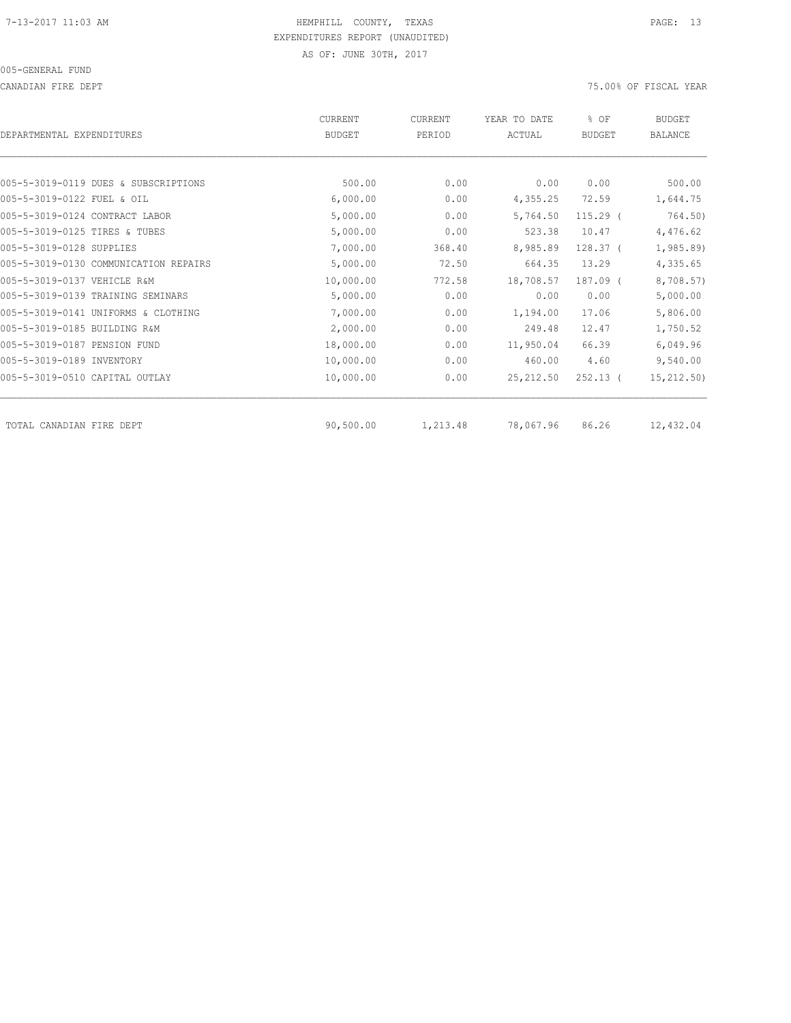CANADIAN FIRE DEPT 75.00% OF FISCAL YEAR

| DEPARTMENTAL EXPENDITURES             | <b>CURRENT</b><br><b>BUDGET</b> | <b>CURRENT</b><br>PERIOD | YEAR TO DATE<br>ACTUAL | % OF<br><b>BUDGET</b> | <b>BUDGET</b><br><b>BALANCE</b> |
|---------------------------------------|---------------------------------|--------------------------|------------------------|-----------------------|---------------------------------|
|                                       |                                 |                          |                        |                       |                                 |
| 005-5-3019-0119 DUES & SUBSCRIPTIONS  | 500.00                          | 0.00                     | 0.00                   | 0.00                  | 500.00                          |
| 005-5-3019-0122 FUEL & OIL            | 6,000.00                        | 0.00                     | 4,355.25               | 72.59                 | 1,644.75                        |
| 005-5-3019-0124 CONTRACT LABOR        | 5,000.00                        | 0.00                     | 5,764.50               | $115.29$ (            | 764.50)                         |
| 005-5-3019-0125 TIRES & TUBES         | 5,000.00                        | 0.00                     | 523.38                 | 10.47                 | 4,476.62                        |
| 005-5-3019-0128 SUPPLIES              | 7,000.00                        | 368.40                   | 8,985.89               | $128.37-$             | 1,985.89)                       |
| 005-5-3019-0130 COMMUNICATION REPAIRS | 5,000.00                        | 72.50                    | 664.35                 | 13.29                 | 4,335.65                        |
| 005-5-3019-0137 VEHICLE R&M           | 10,000.00                       | 772.58                   | 18,708.57              | $187.09$ $($          | 8,708.57)                       |
| 005-5-3019-0139 TRAINING SEMINARS     | 5,000.00                        | 0.00                     | 0.00                   | 0.00                  | 5,000.00                        |
| 005-5-3019-0141 UNIFORMS & CLOTHING   | 7,000.00                        | 0.00                     | 1,194.00               | 17.06                 | 5,806.00                        |
| 005-5-3019-0185 BUILDING R&M          | 2,000.00                        | 0.00                     | 249.48                 | 12.47                 | 1,750.52                        |
| 005-5-3019-0187 PENSION FUND          | 18,000.00                       | 0.00                     | 11,950.04              | 66.39                 | 6,049.96                        |
| 005-5-3019-0189 INVENTORY             | 10,000.00                       | 0.00                     | 460.00                 | 4.60                  | 9,540.00                        |
| 005-5-3019-0510 CAPITAL OUTLAY        | 10,000.00                       | 0.00                     | 25, 212, 50            | $252.13$ (            | 15,212.50)                      |
| TOTAL CANADIAN FIRE DEPT              | 90,500.00                       | 1,213.48                 | 78,067.96              | 86.26                 | 12,432.04                       |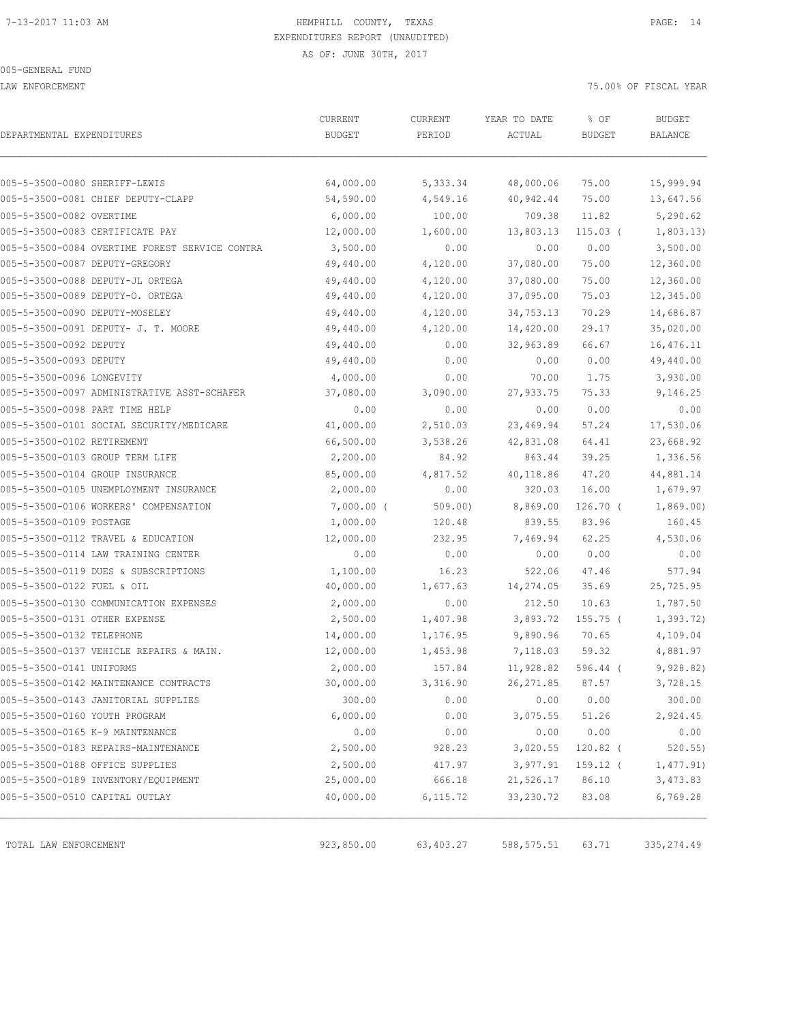LAW ENFORCEMENT 75.00% OF FISCAL YEAR

| DEPARTMENTAL EXPENDITURES                      | CURRENT<br><b>BUDGET</b> | CURRENT<br>PERIOD | YEAR TO DATE<br>ACTUAL | % OF<br><b>BUDGET</b> | <b>BUDGET</b><br><b>BALANCE</b> |
|------------------------------------------------|--------------------------|-------------------|------------------------|-----------------------|---------------------------------|
|                                                |                          |                   |                        |                       |                                 |
| 005-5-3500-0080 SHERIFF-LEWIS                  | 64,000.00                | 5,333.34          | 48,000.06              | 75.00                 | 15,999.94                       |
| 005-5-3500-0081 CHIEF DEPUTY-CLAPP             | 54,590.00                | 4,549.16          | 40,942.44              | 75.00                 | 13,647.56                       |
| 005-5-3500-0082 OVERTIME                       | 6,000.00                 | 100.00            | 709.38                 | 11.82                 | 5,290.62                        |
| 005-5-3500-0083 CERTIFICATE PAY                | 12,000.00                | 1,600.00          | 13,803.13              | $115.03$ (            | 1,803.13)                       |
| 005-5-3500-0084 OVERTIME FOREST SERVICE CONTRA | 3,500.00                 | 0.00              | 0.00                   | 0.00                  | 3,500.00                        |
| 005-5-3500-0087 DEPUTY-GREGORY                 | 49,440.00                | 4,120.00          | 37,080.00              | 75.00                 | 12,360.00                       |
| 005-5-3500-0088 DEPUTY-JL ORTEGA               | 49,440.00                | 4,120.00          | 37,080.00              | 75.00                 | 12,360.00                       |
| 005-5-3500-0089 DEPUTY-O. ORTEGA               | 49,440.00                | 4,120.00          | 37,095.00              | 75.03                 | 12,345.00                       |
| 005-5-3500-0090 DEPUTY-MOSELEY                 | 49,440.00                | 4,120.00          | 34,753.13              | 70.29                 | 14,686.87                       |
| 005-5-3500-0091 DEPUTY- J. T. MOORE            | 49,440.00                | 4,120.00          | 14,420.00              | 29.17                 | 35,020.00                       |
| 005-5-3500-0092 DEPUTY                         | 49,440.00                | 0.00              | 32,963.89              | 66.67                 | 16,476.11                       |
| 005-5-3500-0093 DEPUTY                         | 49,440.00                | 0.00              | 0.00                   | 0.00                  | 49,440.00                       |
| 005-5-3500-0096 LONGEVITY                      | 4,000.00                 | 0.00              | 70.00                  | 1.75                  | 3,930.00                        |
| 005-5-3500-0097 ADMINISTRATIVE ASST-SCHAFER    | 37,080.00                | 3,090.00          | 27,933.75              | 75.33                 | 9,146.25                        |
| 005-5-3500-0098 PART TIME HELP                 | 0.00                     | 0.00              | 0.00                   | 0.00                  | 0.00                            |
| 005-5-3500-0101 SOCIAL SECURITY/MEDICARE       | 41,000.00                | 2,510.03          | 23,469.94              | 57.24                 | 17,530.06                       |
| 005-5-3500-0102 RETIREMENT                     | 66,500.00                | 3,538.26          | 42,831.08              | 64.41                 | 23,668.92                       |
| 005-5-3500-0103 GROUP TERM LIFE                | 2,200.00                 | 84.92             | 863.44                 | 39.25                 | 1,336.56                        |
| 005-5-3500-0104 GROUP INSURANCE                | 85,000.00                | 4,817.52          | 40,118.86              | 47.20                 | 44,881.14                       |
| 005-5-3500-0105 UNEMPLOYMENT INSURANCE         | 2,000.00                 | 0.00              | 320.03                 | 16.00                 | 1,679.97                        |
| 005-5-3500-0106 WORKERS' COMPENSATION          | $7,000.00$ (             | 509.00            | 8,869.00               | $126.70$ (            | 1,869.00                        |
| 005-5-3500-0109 POSTAGE                        | 1,000.00                 | 120.48            | 839.55                 | 83.96                 | 160.45                          |
| 005-5-3500-0112 TRAVEL & EDUCATION             | 12,000.00                | 232.95            | 7,469.94               | 62.25                 | 4,530.06                        |
| 005-5-3500-0114 LAW TRAINING CENTER            | 0.00                     | 0.00              | 0.00                   | 0.00                  | 0.00                            |
| 005-5-3500-0119 DUES & SUBSCRIPTIONS           | 1,100.00                 | 16.23             | 522.06                 | 47.46                 | 577.94                          |
| 005-5-3500-0122 FUEL & OIL                     | 40,000.00                | 1,677.63          | 14,274.05              | 35.69                 | 25,725.95                       |
| 005-5-3500-0130 COMMUNICATION EXPENSES         | 2,000.00                 | 0.00              | 212.50                 | 10.63                 | 1,787.50                        |
| 005-5-3500-0131 OTHER EXPENSE                  | 2,500.00                 | 1,407.98          | 3,893.72               | 155.75 (              | 1,393.72)                       |
| 005-5-3500-0132 TELEPHONE                      | 14,000.00                | 1,176.95          | 9,890.96               | 70.65                 | 4,109.04                        |
| 005-5-3500-0137 VEHICLE REPAIRS & MAIN.        | 12,000.00                | 1,453.98          | 7,118.03               | 59.32                 | 4,881.97                        |
| 005-5-3500-0141 UNIFORMS                       | 2,000.00                 | 157.84            | 11,928.82              | $596.44$ (            | 9,928.82)                       |
| 005-5-3500-0142 MAINTENANCE CONTRACTS          | 30,000.00                | 3,316.90          | 26, 271.85             | 87.57                 | 3,728.15                        |
| 005-5-3500-0143 JANITORIAL SUPPLIES            | 300.00                   | 0.00              | 0.00                   | 0.00                  | 300.00                          |
| 005-5-3500-0160 YOUTH PROGRAM                  | 6,000.00                 | 0.00              | 3,075.55               | 51.26                 | 2,924.45                        |
| 005-5-3500-0165 K-9 MAINTENANCE                | 0.00                     | 0.00              | 0.00                   | 0.00                  | 0.00                            |
| 005-5-3500-0183 REPAIRS-MAINTENANCE            | 2,500.00                 | 928.23            | 3,020.55               | 120.82 (              | $520.55$ )                      |
| 005-5-3500-0188 OFFICE SUPPLIES                | 2,500.00                 | 417.97            | 3,977.91               | 159.12 (              | 1,477.91)                       |
| 005-5-3500-0189 INVENTORY/EQUIPMENT            | 25,000.00                | 666.18            | 21,526.17              | 86.10                 | 3,473.83                        |
| 005-5-3500-0510 CAPITAL OUTLAY                 | 40,000.00                | 6, 115.72         | 33, 230.72             | 83.08                 | 6,769.28                        |
| TOTAL LAW ENFORCEMENT                          | 923,850.00               | 63,403.27         | 588, 575.51            | 63.71                 | 335, 274.49                     |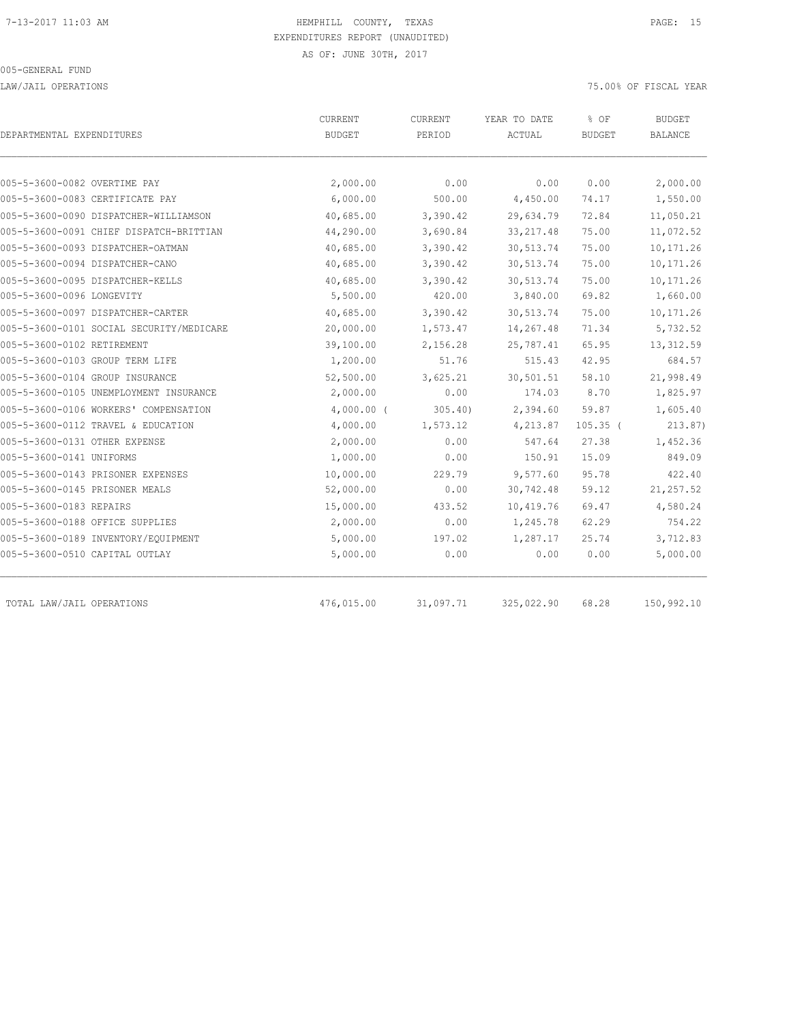LAW/JAIL OPERATIONS 75.00% OF FISCAL YEAR

|                                          |               |           |            |               | <b>BUDGET</b>  |
|------------------------------------------|---------------|-----------|------------|---------------|----------------|
| DEPARTMENTAL EXPENDITURES                | <b>BUDGET</b> | PERIOD    | ACTUAL     | <b>BUDGET</b> | <b>BALANCE</b> |
|                                          |               |           |            |               |                |
| 005-5-3600-0082 OVERTIME PAY             | 2,000.00      | 0.00      | 0.00       | 0.00          | 2,000.00       |
| 005-5-3600-0083 CERTIFICATE PAY          | 6,000.00      | 500.00    | 4,450.00   | 74.17         | 1,550.00       |
| 005-5-3600-0090 DISPATCHER-WILLIAMSON    | 40,685.00     | 3,390.42  | 29,634.79  | 72.84         | 11,050.21      |
| 005-5-3600-0091 CHIEF DISPATCH-BRITTIAN  | 44,290.00     | 3,690.84  | 33, 217.48 | 75.00         | 11,072.52      |
| 005-5-3600-0093 DISPATCHER-OATMAN        | 40,685.00     | 3,390.42  | 30, 513.74 | 75.00         | 10,171.26      |
| 005-5-3600-0094 DISPATCHER-CANO          | 40,685.00     | 3,390.42  | 30, 513.74 | 75.00         | 10,171.26      |
| 005-5-3600-0095 DISPATCHER-KELLS         | 40,685.00     | 3,390.42  | 30, 513.74 | 75.00         | 10,171.26      |
| 005-5-3600-0096 LONGEVITY                | 5,500.00      | 420.00    | 3,840.00   | 69.82         | 1,660.00       |
| 005-5-3600-0097 DISPATCHER-CARTER        | 40,685.00     | 3,390.42  | 30, 513.74 | 75.00         | 10,171.26      |
| 005-5-3600-0101 SOCIAL SECURITY/MEDICARE | 20,000.00     | 1,573.47  | 14,267.48  | 71.34         | 5,732.52       |
| 005-5-3600-0102 RETIREMENT               | 39,100.00     | 2,156.28  | 25,787.41  | 65.95         | 13,312.59      |
| 005-5-3600-0103 GROUP TERM LIFE          | 1,200.00      | 51.76     | 515.43     | 42.95         | 684.57         |
| 005-5-3600-0104 GROUP INSURANCE          | 52,500.00     | 3,625.21  | 30,501.51  | 58.10         | 21,998.49      |
| 005-5-3600-0105 UNEMPLOYMENT INSURANCE   | 2,000.00      | 0.00      | 174.03     | 8.70          | 1,825.97       |
| 005-5-3600-0106 WORKERS' COMPENSATION    | $4,000.00$ (  | 305.40    | 2,394.60   | 59.87         | 1,605.40       |
| 005-5-3600-0112 TRAVEL & EDUCATION       | 4,000.00      | 1,573.12  | 4,213.87   | $105.35$ (    | 213.87)        |
| 005-5-3600-0131 OTHER EXPENSE            | 2,000.00      | 0.00      | 547.64     | 27.38         | 1,452.36       |
| 005-5-3600-0141 UNIFORMS                 | 1,000.00      | 0.00      | 150.91     | 15.09         | 849.09         |
| 005-5-3600-0143 PRISONER EXPENSES        | 10,000.00     | 229.79    | 9,577.60   | 95.78         | 422.40         |
| 005-5-3600-0145 PRISONER MEALS           | 52,000.00     | 0.00      | 30,742.48  | 59.12         | 21, 257.52     |
| 005-5-3600-0183 REPAIRS                  | 15,000.00     | 433.52    | 10,419.76  | 69.47         | 4,580.24       |
| 005-5-3600-0188 OFFICE SUPPLIES          | 2,000.00      | 0.00      | 1,245.78   | 62.29         | 754.22         |
| 005-5-3600-0189 INVENTORY/EQUIPMENT      | 5,000.00      | 197.02    | 1,287.17   | 25.74         | 3,712.83       |
| 005-5-3600-0510 CAPITAL OUTLAY           | 5,000.00      | 0.00      | 0.00       | 0.00          | 5,000.00       |
| TOTAL LAW/JAIL OPERATIONS                | 476,015.00    | 31,097.71 | 325,022.90 | 68.28         | 150,992.10     |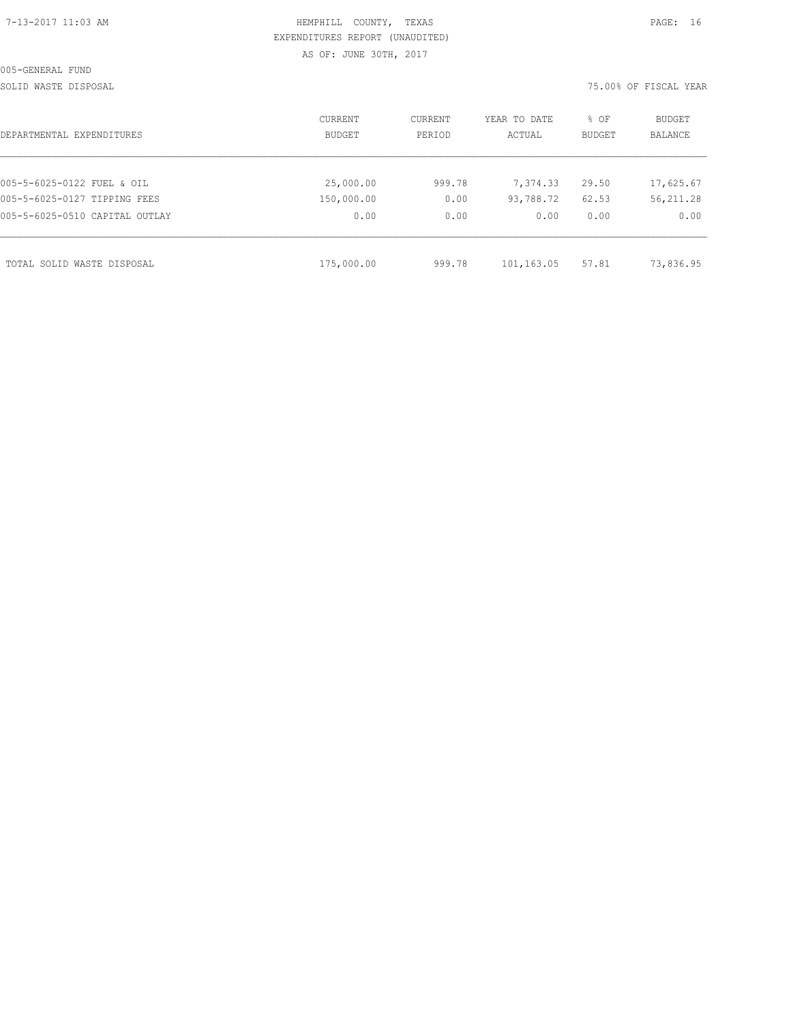# HEMPHILL COUNTY, TEXAS **PAGE:** 16 EXPENDITURES REPORT (UNAUDITED) AS OF: JUNE 30TH, 2017

SOLID WASTE DISPOSAL 75.00% OF FISCAL YEAR

| DEPARTMENTAL EXPENDITURES      | CURRENT<br><b>BUDGET</b> | CURRENT<br>PERIOD | YEAR TO DATE<br>ACTUAL | % OF<br><b>BUDGET</b> | BUDGET<br><b>BALANCE</b> |
|--------------------------------|--------------------------|-------------------|------------------------|-----------------------|--------------------------|
|                                |                          |                   |                        |                       |                          |
| 005-5-6025-0122 FUEL & OIL     | 25,000.00                | 999.78            | 7,374.33               | 29.50                 | 17,625.67                |
| 005-5-6025-0127 TIPPING FEES   | 150,000.00               | 0.00              | 93,788.72              | 62.53                 | 56, 211.28               |
| 005-5-6025-0510 CAPITAL OUTLAY | 0.00                     | 0.00              | 0.00                   | 0.00                  | 0.00                     |
|                                |                          |                   |                        |                       |                          |
| TOTAL SOLID WASTE DISPOSAL     | 175,000.00               | 999.78            | 101,163.05             | 57.81                 | 73,836.95                |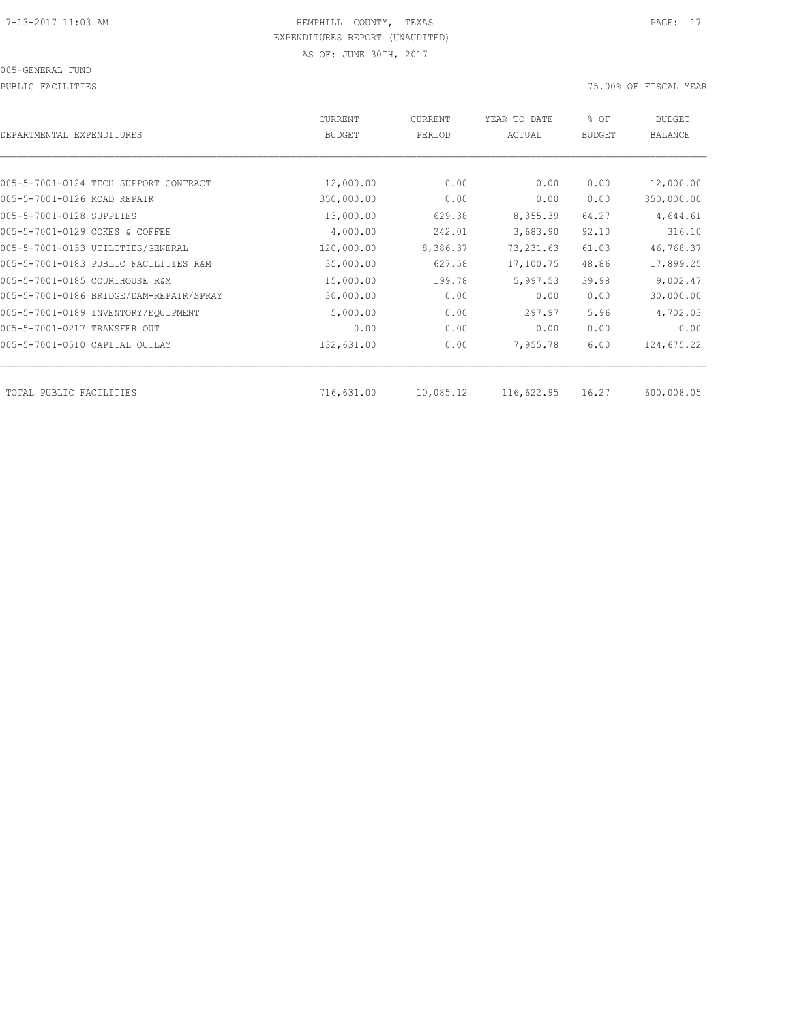005-GENERAL FUND

PUBLIC FACILITIES 75.00% OF FISCAL YEAR

| DEPARTMENTAL EXPENDITURES               | CURRENT<br><b>BUDGET</b> | CURRENT<br>PERIOD | YEAR TO DATE<br>ACTUAL | % OF<br><b>BUDGET</b> | <b>BUDGET</b><br><b>BALANCE</b> |
|-----------------------------------------|--------------------------|-------------------|------------------------|-----------------------|---------------------------------|
|                                         |                          |                   |                        |                       |                                 |
| 005-5-7001-0124 TECH SUPPORT CONTRACT   | 12,000.00                | 0.00              | 0.00                   | 0.00                  | 12,000.00                       |
| 005-5-7001-0126 ROAD REPAIR             | 350,000.00               | 0.00              | 0.00                   | 0.00                  | 350,000.00                      |
| 005-5-7001-0128 SUPPLIES                | 13,000.00                | 629.38            | 8,355.39               | 64.27                 | 4,644.61                        |
| 005-5-7001-0129 COKES & COFFEE          | 4,000.00                 | 242.01            | 3,683.90               | 92.10                 | 316.10                          |
| 005-5-7001-0133 UTILITIES/GENERAL       | 120,000.00               | 8,386.37          | 73, 231.63             | 61.03                 | 46,768.37                       |
| 005-5-7001-0183 PUBLIC FACILITIES R&M   | 35,000.00                | 627.58            | 17,100.75              | 48.86                 | 17,899.25                       |
| 005-5-7001-0185 COURTHOUSE R&M          | 15,000.00                | 199.78            | 5,997.53               | 39.98                 | 9,002.47                        |
| 005-5-7001-0186 BRIDGE/DAM-REPAIR/SPRAY | 30,000.00                | 0.00              | 0.00                   | 0.00                  | 30,000.00                       |
| 005-5-7001-0189 INVENTORY/EQUIPMENT     | 5,000.00                 | 0.00              | 297.97                 | 5.96                  | 4,702.03                        |
| 005-5-7001-0217 TRANSFER OUT            | 0.00                     | 0.00              | 0.00                   | 0.00                  | 0.00                            |
| 005-5-7001-0510 CAPITAL OUTLAY          | 132,631.00               | 0.00              | 7,955.78               | 6.00                  | 124,675.22                      |
|                                         |                          |                   |                        |                       |                                 |
| TOTAL PUBLIC FACILITIES                 | 716,631.00               | 10,085.12         | 116,622.95             | 16.27                 | 600,008.05                      |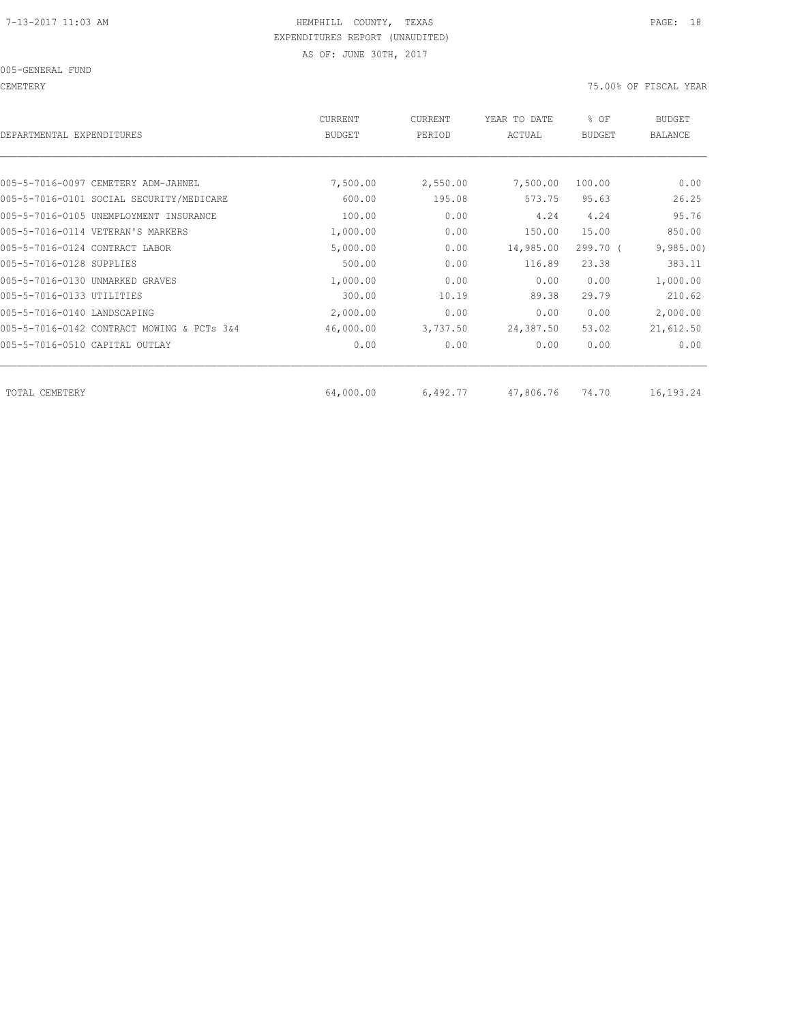CEMETERY 75.00% OF FISCAL YEAR

| DEPARTMENTAL EXPENDITURES                  | CURRENT<br><b>BUDGET</b> | CURRENT<br>PERIOD | YEAR TO DATE<br>ACTUAL | % OF<br><b>BUDGET</b> | <b>BUDGET</b><br><b>BALANCE</b> |
|--------------------------------------------|--------------------------|-------------------|------------------------|-----------------------|---------------------------------|
|                                            |                          |                   |                        |                       |                                 |
| 005-5-7016-0097 CEMETERY ADM-JAHNEL        | 7,500.00                 | 2,550.00          | 7,500.00               | 100.00                | 0.00                            |
| 005-5-7016-0101 SOCIAL SECURITY/MEDICARE   | 600.00                   | 195.08            | 573.75                 | 95.63                 | 26.25                           |
| 005-5-7016-0105 UNEMPLOYMENT INSURANCE     | 100.00                   | 0.00              | 4.24                   | 4.24                  | 95.76                           |
| 005-5-7016-0114 VETERAN'S MARKERS          | 1,000.00                 | 0.00              | 150.00                 | 15.00                 | 850.00                          |
| 005-5-7016-0124 CONTRACT LABOR             | 5,000.00                 | 0.00              | 14,985.00              | 299.70 (              | 9,985.00                        |
| 005-5-7016-0128 SUPPLIES                   | 500.00                   | 0.00              | 116.89                 | 23.38                 | 383.11                          |
| 005-5-7016-0130 UNMARKED GRAVES            | 1,000.00                 | 0.00              | 0.00                   | 0.00                  | 1,000.00                        |
| 005-5-7016-0133 UTILITIES                  | 300.00                   | 10.19             | 89.38                  | 29.79                 | 210.62                          |
| 005-5-7016-0140 LANDSCAPING                | 2,000.00                 | 0.00              | 0.00                   | 0.00                  | 2,000.00                        |
| 005-5-7016-0142 CONTRACT MOWING & PCTs 3&4 | 46,000.00                | 3,737.50          | 24,387.50              | 53.02                 | 21,612.50                       |
| 005-5-7016-0510 CAPITAL OUTLAY             | 0.00                     | 0.00              | 0.00                   | 0.00                  | 0.00                            |
|                                            |                          |                   |                        |                       |                                 |
| TOTAL CEMETERY                             | 64,000.00                | 6,492.77          | 47,806.76              | 74.70                 | 16,193.24                       |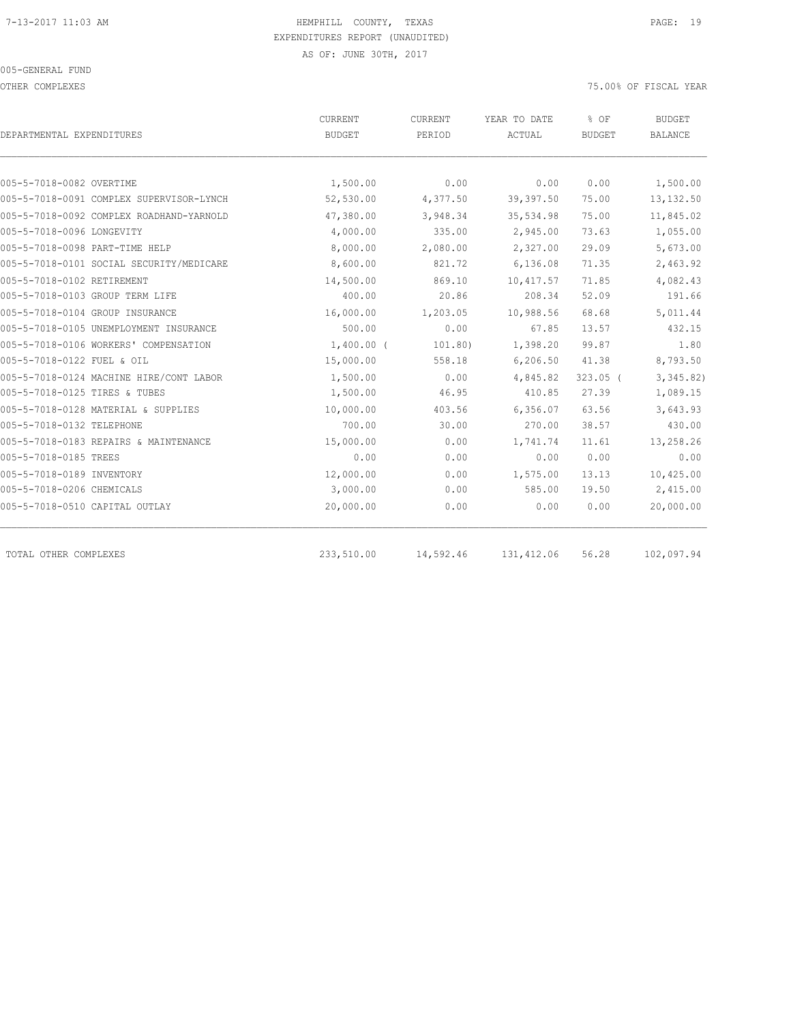OTHER COMPLEXES 75.00% OF FISCAL YEAR

|                                          | CURRENT      | CURRENT   | YEAR TO DATE | % OF          | <b>BUDGET</b>  |
|------------------------------------------|--------------|-----------|--------------|---------------|----------------|
| DEPARTMENTAL EXPENDITURES                | BUDGET       | PERIOD    | ACTUAL       | <b>BUDGET</b> | <b>BALANCE</b> |
|                                          |              |           |              |               |                |
| 005-5-7018-0082 OVERTIME                 | 1,500.00     | 0.00      | 0.00         | 0.00          | 1,500.00       |
| 005-5-7018-0091 COMPLEX SUPERVISOR-LYNCH | 52,530.00    | 4,377.50  | 39,397.50    | 75.00         | 13, 132.50     |
| 005-5-7018-0092 COMPLEX ROADHAND-YARNOLD | 47,380.00    | 3,948.34  | 35,534.98    | 75.00         | 11,845.02      |
| 005-5-7018-0096 LONGEVITY                | 4,000.00     | 335.00    | 2,945.00     | 73.63         | 1,055.00       |
| 005-5-7018-0098 PART-TIME HELP           | 8,000.00     | 2,080.00  | 2,327.00     | 29.09         | 5,673.00       |
| 005-5-7018-0101 SOCIAL SECURITY/MEDICARE | 8,600.00     | 821.72    | 6,136.08     | 71.35         | 2,463.92       |
| 005-5-7018-0102 RETIREMENT               | 14,500.00    | 869.10    | 10,417.57    | 71.85         | 4,082.43       |
| 005-5-7018-0103 GROUP TERM LIFE          | 400.00       | 20.86     | 208.34       | 52.09         | 191.66         |
| 005-5-7018-0104 GROUP INSURANCE          | 16,000.00    | 1,203.05  | 10,988.56    | 68.68         | 5,011.44       |
| 005-5-7018-0105 UNEMPLOYMENT INSURANCE   | 500.00       | 0.00      | 67.85        | 13.57         | 432.15         |
| 005-5-7018-0106 WORKERS' COMPENSATION    | $1,400.00$ ( | 101.80)   | 1,398.20     | 99.87         | 1.80           |
| 005-5-7018-0122 FUEL & OIL               | 15,000.00    | 558.18    | 6, 206.50    | 41.38         | 8,793.50       |
| 005-5-7018-0124 MACHINE HIRE/CONT LABOR  | 1,500.00     | 0.00      | 4,845.82     | $323.05$ (    | 3,345.82)      |
| 005-5-7018-0125 TIRES & TUBES            | 1,500.00     | 46.95     | 410.85       | 27.39         | 1,089.15       |
| 005-5-7018-0128 MATERIAL & SUPPLIES      | 10,000.00    | 403.56    | 6,356.07     | 63.56         | 3,643.93       |
| 005-5-7018-0132 TELEPHONE                | 700.00       | 30.00     | 270.00       | 38.57         | 430.00         |
| 005-5-7018-0183 REPAIRS & MAINTENANCE    | 15,000.00    | 0.00      | 1,741.74     | 11.61         | 13,258.26      |
| 005-5-7018-0185 TREES                    | 0.00         | 0.00      | 0.00         | 0.00          | 0.00           |
| 005-5-7018-0189 INVENTORY                | 12,000.00    | 0.00      | 1,575.00     | 13.13         | 10,425.00      |
| 005-5-7018-0206 CHEMICALS                | 3,000.00     | 0.00      | 585.00       | 19.50         | 2,415.00       |
| 005-5-7018-0510 CAPITAL OUTLAY           | 20,000.00    | 0.00      | 0.00         | 0.00          | 20,000.00      |
| TOTAL OTHER COMPLEXES                    | 233,510.00   | 14,592.46 | 131, 412.06  | 56.28         | 102,097.94     |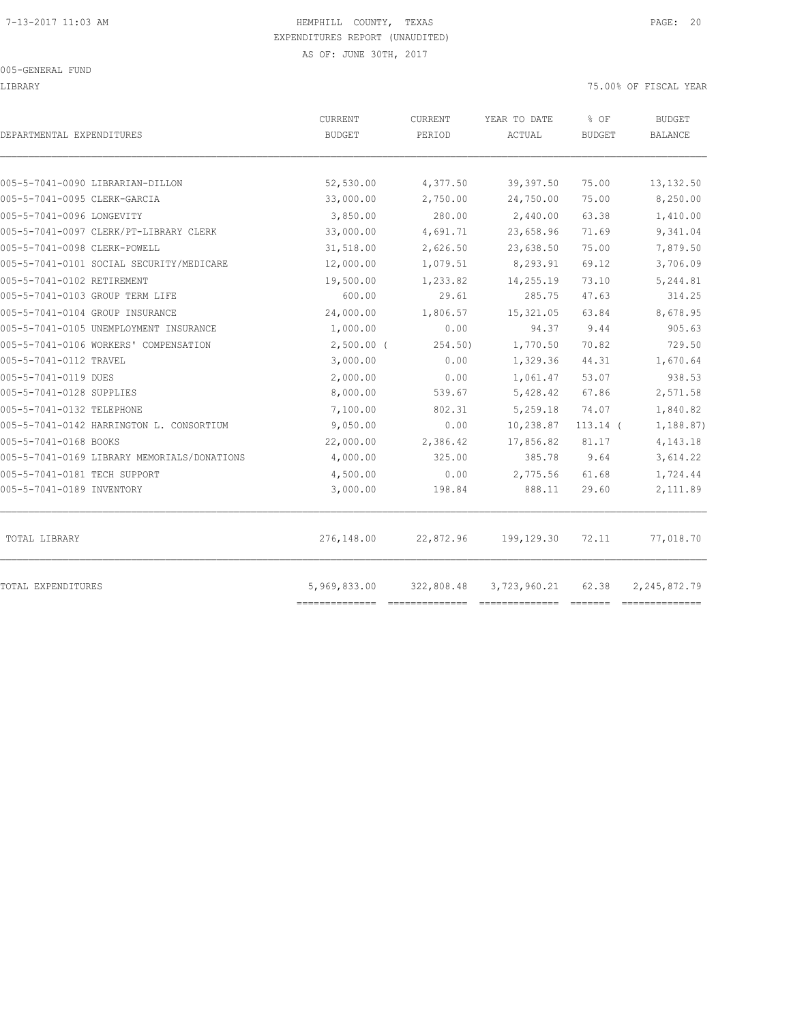LIBRARY 75.00% OF FISCAL YEAR

| DEPARTMENTAL EXPENDITURES                   | CURRENT<br><b>BUDGET</b> | CURRENT<br>PERIOD | YEAR TO DATE<br>ACTUAL | % OF<br><b>BUDGET</b> | <b>BUDGET</b><br><b>BALANCE</b> |
|---------------------------------------------|--------------------------|-------------------|------------------------|-----------------------|---------------------------------|
| 005-5-7041-0090 LIBRARIAN-DILLON            | 52,530.00                | 4,377.50          | 39,397.50              | 75.00                 | 13, 132.50                      |
| 005-5-7041-0095 CLERK-GARCIA                | 33,000.00                | 2,750.00          | 24,750.00              | 75.00                 | 8,250.00                        |
| 005-5-7041-0096 LONGEVITY                   | 3,850.00                 | 280.00            | 2,440.00               | 63.38                 | 1,410.00                        |
| 005-5-7041-0097 CLERK/PT-LIBRARY CLERK      | 33,000.00                | 4,691.71          | 23,658.96              | 71.69                 | 9,341.04                        |
| 005-5-7041-0098 CLERK-POWELL                | 31,518.00                | 2,626.50          | 23,638.50              | 75.00                 | 7,879.50                        |
| 005-5-7041-0101 SOCIAL SECURITY/MEDICARE    | 12,000.00                | 1,079.51          | 8,293.91               | 69.12                 | 3,706.09                        |
| 005-5-7041-0102 RETIREMENT                  | 19,500.00                | 1,233.82          | 14,255.19              | 73.10                 | 5,244.81                        |
| 005-5-7041-0103 GROUP TERM LIFE             | 600.00                   | 29.61             | 285.75                 | 47.63                 | 314.25                          |
| 005-5-7041-0104 GROUP INSURANCE             | 24,000.00                | 1,806.57          | 15, 321.05             | 63.84                 | 8,678.95                        |
| 005-5-7041-0105 UNEMPLOYMENT INSURANCE      | 1,000.00                 | 0.00              | 94.37                  | 9.44                  | 905.63                          |
| 005-5-7041-0106 WORKERS' COMPENSATION       | $2,500.00$ (             | 254.50)           | 1,770.50               | 70.82                 | 729.50                          |
| 005-5-7041-0112 TRAVEL                      | 3,000.00                 | 0.00              | 1,329.36               | 44.31                 | 1,670.64                        |
| 005-5-7041-0119 DUES                        | 2,000.00                 | 0.00              | 1,061.47               | 53.07                 | 938.53                          |
| 005-5-7041-0128 SUPPLIES                    | 8,000.00                 | 539.67            | 5,428.42               | 67.86                 | 2,571.58                        |
| 005-5-7041-0132 TELEPHONE                   | 7,100.00                 | 802.31            | 5,259.18               | 74.07                 | 1,840.82                        |
| 005-5-7041-0142 HARRINGTON L. CONSORTIUM    | 9,050.00                 | 0.00              | 10,238.87              | $113.14$ (            | 1,188.87)                       |
| 005-5-7041-0168 BOOKS                       | 22,000.00                | 2,386.42          | 17,856.82              | 81.17                 | 4,143.18                        |
| 005-5-7041-0169 LIBRARY MEMORIALS/DONATIONS | 4,000.00                 | 325.00            | 385.78                 | 9.64                  | 3,614.22                        |
| 005-5-7041-0181 TECH SUPPORT                | 4,500.00                 | 0.00              | 2,775.56               | 61.68                 | 1,724.44                        |
| 005-5-7041-0189 INVENTORY                   | 3,000.00                 | 198.84            | 888.11                 | 29.60                 | 2,111.89                        |
| TOTAL LIBRARY                               | 276,148.00               | 22,872.96         | 199,129.30             | 72.11                 | 77,018.70                       |
| TOTAL EXPENDITURES                          | 5,969,833.00             | 322,808.48        | 3,723,960.21           | 62.38                 | 2, 245, 872.79                  |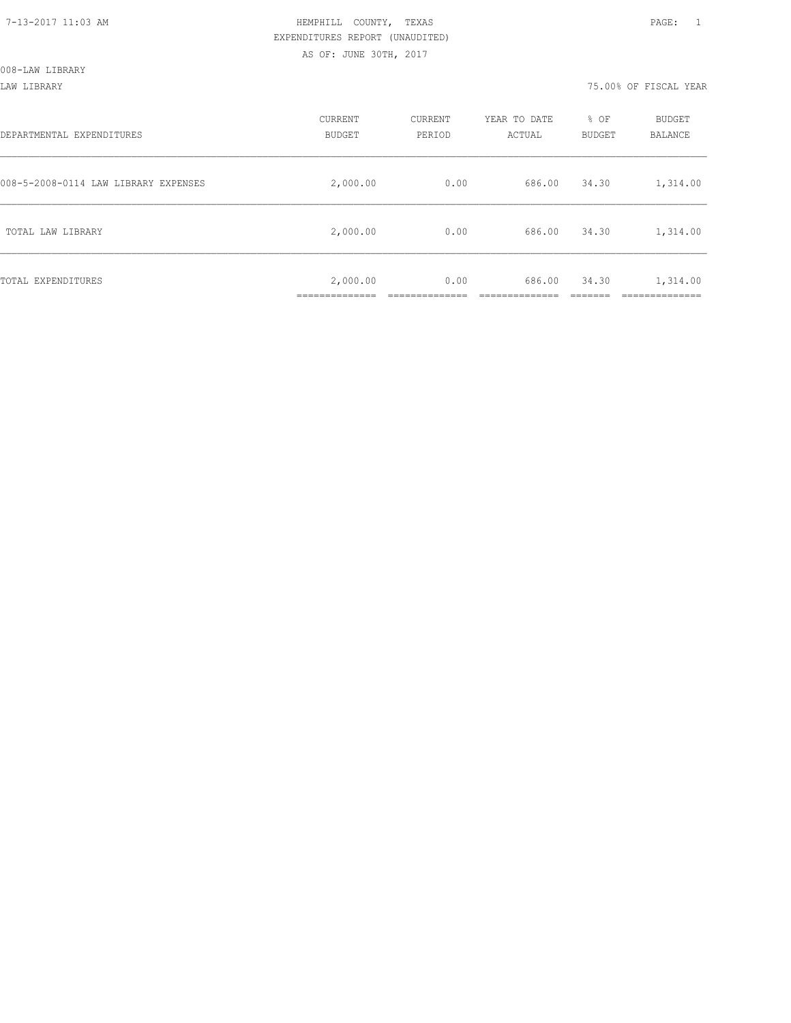LAW LIBRARY 75.00% OF FISCAL YEAR

| DEPARTMENTAL EXPENDITURES            | CURRENT<br><b>BUDGET</b> | CURRENT<br>PERIOD | YEAR TO DATE<br>ACTUAL | % OF<br><b>BUDGET</b> | <b>BUDGET</b><br>BALANCE |
|--------------------------------------|--------------------------|-------------------|------------------------|-----------------------|--------------------------|
| 008-5-2008-0114 LAW LIBRARY EXPENSES | 2,000.00                 | 0.00              | 686.00                 | 34.30                 | 1,314.00                 |
| TOTAL LAW LIBRARY                    | 2,000.00                 | 0.00              | 686.00                 | 34.30                 | 1,314.00                 |
| TOTAL EXPENDITURES                   | 2,000.00<br>___________  | 0.00              | 686.00                 | 34.30                 | 1,314.00<br>_______      |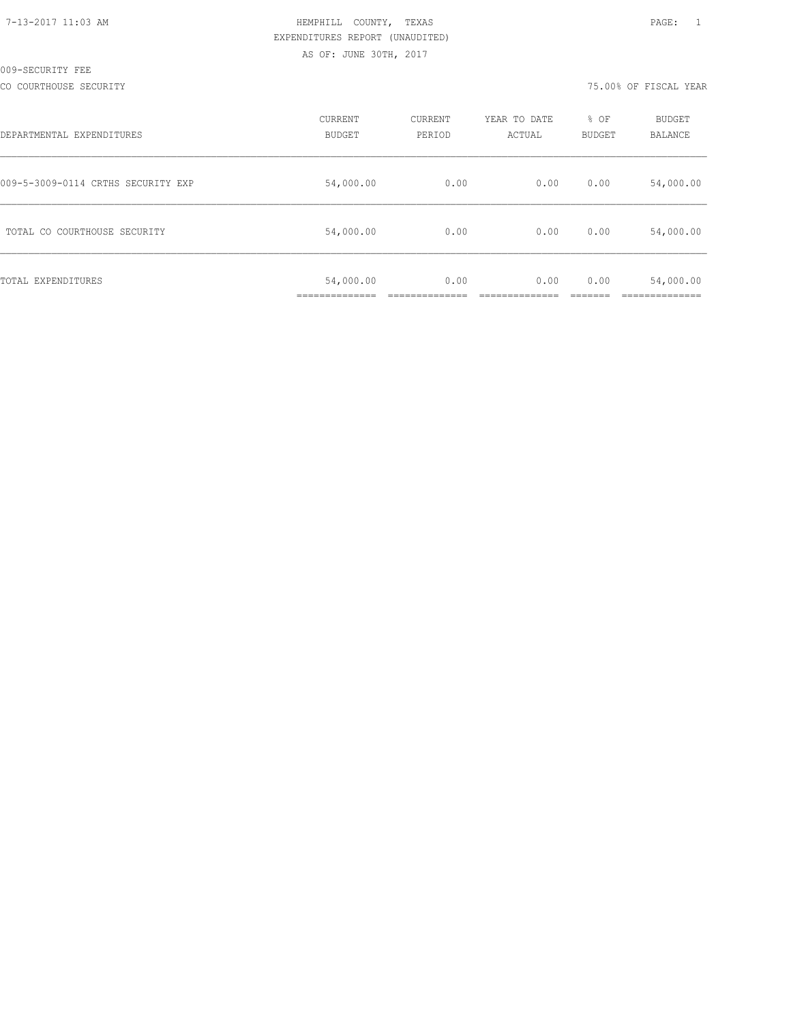# HEMPHILL COUNTY, TEXAS **12:03 AM HEMPHILL COUNTY**, TEXAS EXPENDITURES REPORT (UNAUDITED) AS OF: JUNE 30TH, 2017

CO COURTHOUSE SECURITY 75.00% OF FISCAL YEAR

| DEPARTMENTAL EXPENDITURES          | CURRENT<br><b>BUDGET</b> | CURRENT<br>PERIOD | YEAR TO DATE<br>ACTUAL | % OF<br><b>BUDGET</b> | BUDGET<br>BALANCE |
|------------------------------------|--------------------------|-------------------|------------------------|-----------------------|-------------------|
| 009-5-3009-0114 CRTHS SECURITY EXP | 54,000.00                | 0.00              | 0.00                   | 0.00                  | 54,000.00         |
| TOTAL CO COURTHOUSE SECURITY       | 54,000.00                | 0.00              | 0.00                   | 0.00                  | 54,000.00         |
| TOTAL EXPENDITURES                 | 54,000.00                | 0.00              | 0.00                   | 0.00                  | 54,000.00         |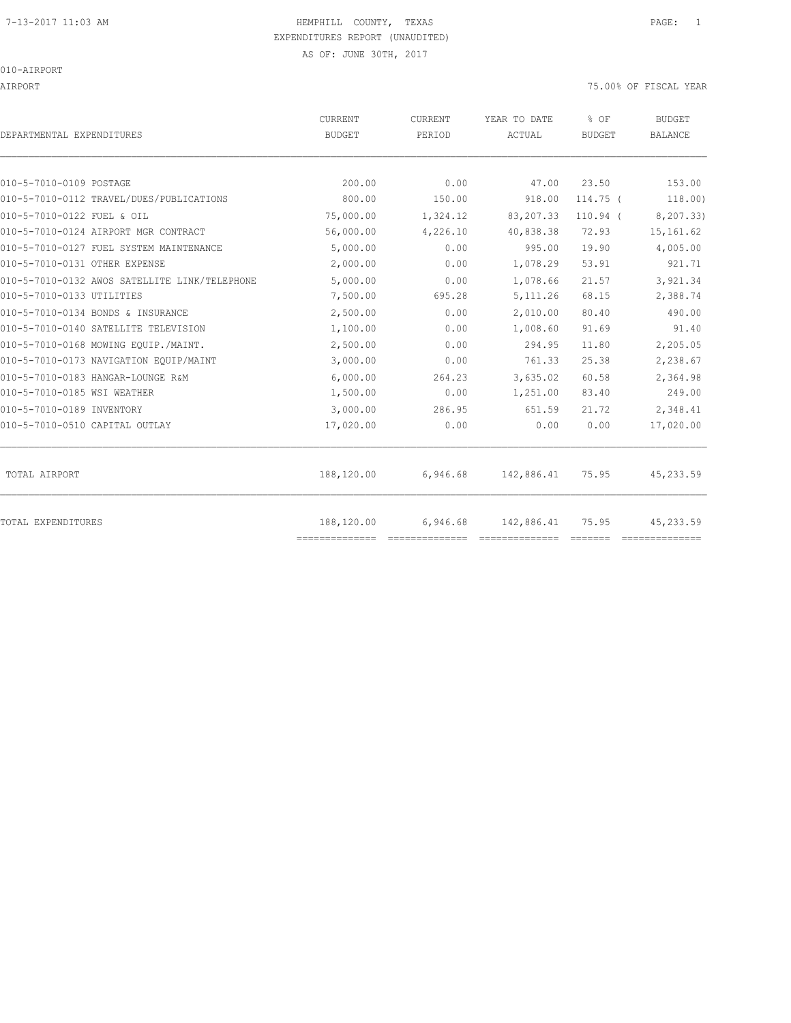# 7-13-2017 11:03 AM HEMPHILL COUNTY, TEXAS PAGE: 1 EXPENDITURES REPORT (UNAUDITED)

AIRPORT 75.00% OF FISCAL YEAR

| DEPARTMENTAL EXPENDITURES                     | CURRENT<br><b>BUDGET</b>     | CURRENT<br>PERIOD | YEAR TO DATE<br>ACTUAL | % OF<br><b>BUDGET</b> | <b>BUDGET</b><br><b>BALANCE</b> |
|-----------------------------------------------|------------------------------|-------------------|------------------------|-----------------------|---------------------------------|
| 010-5-7010-0109 POSTAGE                       | 200.00                       | 0.00              | 47.00                  | 23.50                 | 153.00                          |
| 010-5-7010-0112 TRAVEL/DUES/PUBLICATIONS      | 800.00                       | 150.00            | 918.00                 | $114.75$ (            | 118.00)                         |
| 010-5-7010-0122 FUEL & OIL                    | 75,000.00                    | 1,324.12          | 83, 207.33             | $110.94$ (            | 8,207.33)                       |
| 010-5-7010-0124 AIRPORT MGR CONTRACT          | 56,000.00                    | 4,226.10          | 40,838.38              | 72.93                 | 15, 161.62                      |
| 010-5-7010-0127 FUEL SYSTEM MAINTENANCE       | 5,000.00                     | 0.00              | 995.00                 | 19.90                 | 4,005.00                        |
| 010-5-7010-0131 OTHER EXPENSE                 | 2,000.00                     | 0.00              | 1,078.29               | 53.91                 | 921.71                          |
| 010-5-7010-0132 AWOS SATELLITE LINK/TELEPHONE | 5,000.00                     | 0.00              | 1,078.66               | 21.57                 | 3,921.34                        |
| 010-5-7010-0133 UTILITIES                     | 7,500.00                     | 695.28            | 5, 111.26              | 68.15                 | 2,388.74                        |
| 010-5-7010-0134 BONDS & INSURANCE             | 2,500.00                     | 0.00              | 2,010.00               | 80.40                 | 490.00                          |
| 010-5-7010-0140 SATELLITE TELEVISION          | 1,100.00                     | 0.00              | 1,008.60               | 91.69                 | 91.40                           |
| 010-5-7010-0168 MOWING EOUIP./MAINT.          | 2,500.00                     | 0.00              | 294.95                 | 11.80                 | 2,205.05                        |
| 010-5-7010-0173 NAVIGATION EQUIP/MAINT        | 3,000.00                     | 0.00              | 761.33                 | 25.38                 | 2,238.67                        |
| 010-5-7010-0183 HANGAR-LOUNGE R&M             | 6,000.00                     | 264.23            | 3,635.02               | 60.58                 | 2,364.98                        |
| 010-5-7010-0185 WSI WEATHER                   | 1,500.00                     | 0.00              | 1,251.00               | 83.40                 | 249.00                          |
| 010-5-7010-0189 INVENTORY                     | 3,000.00                     | 286.95            | 651.59                 | 21.72                 | 2,348.41                        |
| 010-5-7010-0510 CAPITAL OUTLAY                | 17,020.00                    | 0.00              | 0.00                   | 0.00                  | 17,020.00                       |
| TOTAL AIRPORT                                 | 188,120.00                   | 6,946.68          | 142,886.41             | 75.95                 | 45,233.59                       |
| <b>TOTAL EXPENDITURES</b>                     | 188,120.00<br>============== | 6,946.68          | 142,886.41             | 75.95                 | 45, 233.59                      |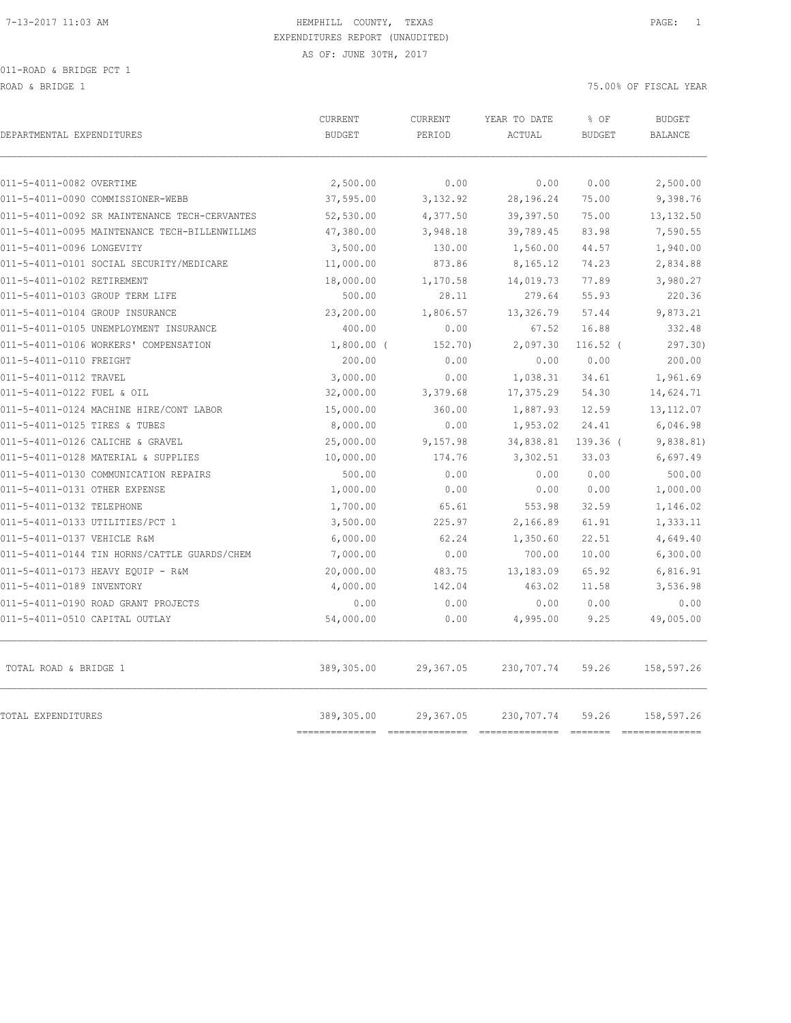011-ROAD & BRIDGE PCT 1

ROAD & BRIDGE 1 75.00% OF FISCAL YEAR (2002)

| DEPARTMENTAL EXPENDITURES                     | CURRENT<br><b>BUDGET</b> | CURRENT<br>PERIOD | YEAR TO DATE<br>ACTUAL | % OF<br><b>BUDGET</b> | <b>BUDGET</b><br><b>BALANCE</b> |
|-----------------------------------------------|--------------------------|-------------------|------------------------|-----------------------|---------------------------------|
| 011-5-4011-0082 OVERTIME                      | 2,500.00                 | 0.00              | 0.00                   | 0.00                  | 2,500.00                        |
| 011-5-4011-0090 COMMISSIONER-WEBB             | 37,595.00                | 3,132.92          | 28, 196. 24            | 75.00                 | 9,398.76                        |
| 011-5-4011-0092 SR MAINTENANCE TECH-CERVANTES | 52,530.00                | 4,377.50          | 39, 397.50             | 75.00                 | 13, 132.50                      |
| 011-5-4011-0095 MAINTENANCE TECH-BILLENWILLMS | 47,380.00                | 3,948.18          | 39,789.45              | 83.98                 | 7,590.55                        |
| 011-5-4011-0096 LONGEVITY                     | 3,500.00                 | 130.00            | 1,560.00               | 44.57                 | 1,940.00                        |
| 011-5-4011-0101 SOCIAL SECURITY/MEDICARE      | 11,000.00                | 873.86            | 8,165.12               | 74.23                 | 2,834.88                        |
| 011-5-4011-0102 RETIREMENT                    | 18,000.00                | 1,170.58          | 14,019.73              | 77.89                 | 3,980.27                        |
| 011-5-4011-0103 GROUP TERM LIFE               | 500.00                   | 28.11             | 279.64                 | 55.93                 | 220.36                          |
| 011-5-4011-0104 GROUP INSURANCE               | 23,200.00                | 1,806.57          | 13,326.79              | 57.44                 | 9,873.21                        |
| 011-5-4011-0105 UNEMPLOYMENT INSURANCE        | 400.00                   | 0.00              | 67.52                  | 16.88                 | 332.48                          |
| 011-5-4011-0106 WORKERS' COMPENSATION         | $1,800.00$ (             | 152.70)           | 2,097.30               | $116.52$ (            | 297.30)                         |
| 011-5-4011-0110 FREIGHT                       | 200.00                   | 0.00              | 0.00                   | 0.00                  | 200.00                          |
| 011-5-4011-0112 TRAVEL                        | 3,000.00                 | 0.00              | 1,038.31               | 34.61                 | 1,961.69                        |
| 011-5-4011-0122 FUEL & OIL                    | 32,000.00                | 3,379.68          | 17,375.29              | 54.30                 | 14,624.71                       |
| 011-5-4011-0124 MACHINE HIRE/CONT LABOR       | 15,000.00                | 360.00            | 1,887.93               | 12.59                 | 13, 112.07                      |
| 011-5-4011-0125 TIRES & TUBES                 | 8,000.00                 | 0.00              | 1,953.02               | 24.41                 | 6,046.98                        |
| 011-5-4011-0126 CALICHE & GRAVEL              | 25,000.00                | 9,157.98          | 34,838.81              | 139.36 (              | 9,838.81)                       |
| 011-5-4011-0128 MATERIAL & SUPPLIES           | 10,000.00                | 174.76            | 3,302.51               | 33.03                 | 6,697.49                        |
| 011-5-4011-0130 COMMUNICATION REPAIRS         | 500.00                   | 0.00              | 0.00                   | 0.00                  | 500.00                          |
| 011-5-4011-0131 OTHER EXPENSE                 | 1,000.00                 | 0.00              | 0.00                   | 0.00                  | 1,000.00                        |
| 011-5-4011-0132 TELEPHONE                     | 1,700.00                 | 65.61             | 553.98                 | 32.59                 | 1,146.02                        |
| 011-5-4011-0133 UTILITIES/PCT 1               | 3,500.00                 | 225.97            | 2,166.89               | 61.91                 | 1,333.11                        |
| 011-5-4011-0137 VEHICLE R&M                   | 6,000.00                 | 62.24             | 1,350.60               | 22.51                 | 4,649.40                        |
| 011-5-4011-0144 TIN HORNS/CATTLE GUARDS/CHEM  | 7,000.00                 | 0.00              | 700.00                 | 10.00                 | 6,300.00                        |
| 011-5-4011-0173 HEAVY EQUIP - R&M             | 20,000.00                | 483.75            | 13,183.09              | 65.92                 | 6,816.91                        |
| 011-5-4011-0189 INVENTORY                     | 4,000.00                 | 142.04            | 463.02                 | 11.58                 | 3,536.98                        |
| 011-5-4011-0190 ROAD GRANT PROJECTS           | 0.00                     | 0.00              | 0.00                   | 0.00                  | 0.00                            |
| 011-5-4011-0510 CAPITAL OUTLAY                | 54,000.00                | 0.00              | 4,995.00               | 9.25                  | 49,005.00                       |
| TOTAL ROAD & BRIDGE 1                         | 389,305.00               | 29,367.05         | 230,707.74             | 59.26                 | 158,597.26                      |
| TOTAL EXPENDITURES                            | 389,305.00               | 29,367.05         | 230,707.74             | 59.26                 | 158,597.26                      |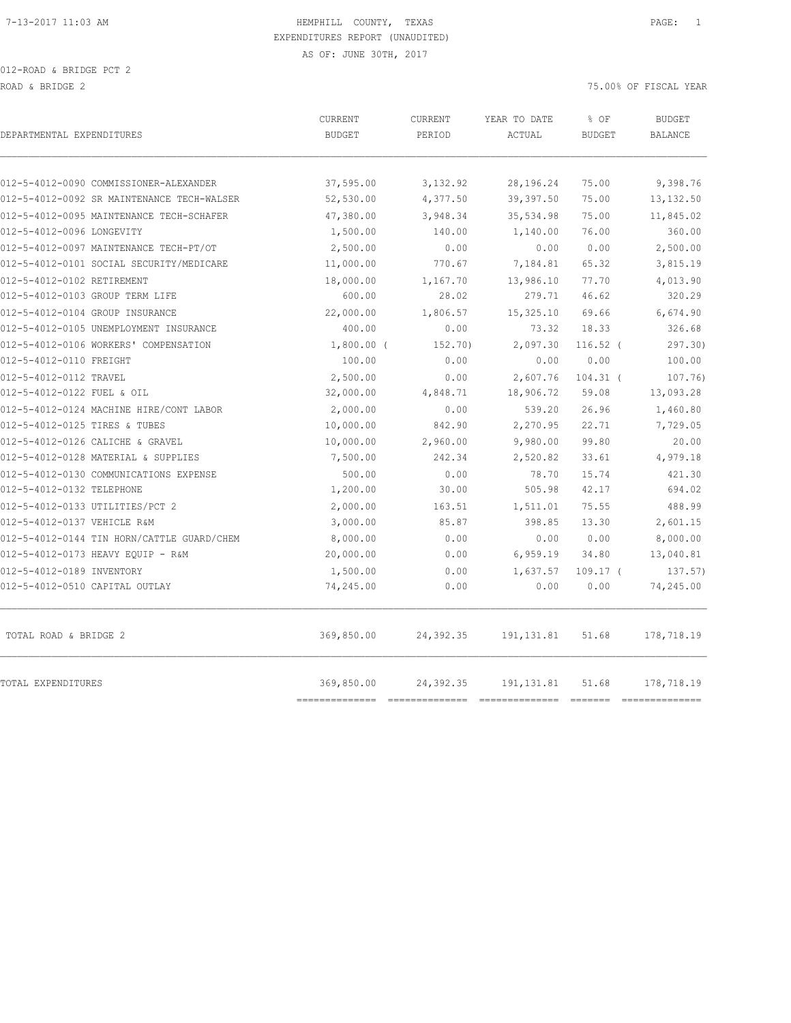012-ROAD & BRIDGE PCT 2 ROAD & BRIDGE 2 75.00% OF FISCAL YEAR (2002) 2003 OF FISCAL YEAR (2003) 2004 OF FISCAL YEAR (2004) 2004 OF FISCAL YEAR

|                                            | <b>CURRENT</b>               | CURRENT                                                                                                                                                                                                                                                                                                                                                                                                                                                                                             | YEAR TO DATE                          | % OF          | <b>BUDGET</b>                |
|--------------------------------------------|------------------------------|-----------------------------------------------------------------------------------------------------------------------------------------------------------------------------------------------------------------------------------------------------------------------------------------------------------------------------------------------------------------------------------------------------------------------------------------------------------------------------------------------------|---------------------------------------|---------------|------------------------------|
| DEPARTMENTAL EXPENDITURES                  | <b>BUDGET</b>                | PERIOD                                                                                                                                                                                                                                                                                                                                                                                                                                                                                              | ACTUAL                                | <b>BUDGET</b> | <b>BALANCE</b>               |
|                                            |                              |                                                                                                                                                                                                                                                                                                                                                                                                                                                                                                     |                                       |               |                              |
| 012-5-4012-0090 COMMISSIONER-ALEXANDER     | 37,595.00                    | 3,132.92                                                                                                                                                                                                                                                                                                                                                                                                                                                                                            | 28,196.24                             | 75.00         | 9,398.76                     |
| 012-5-4012-0092 SR MAINTENANCE TECH-WALSER | 52,530.00                    | 4,377.50                                                                                                                                                                                                                                                                                                                                                                                                                                                                                            | 39, 397.50                            | 75.00         | 13, 132.50                   |
| 012-5-4012-0095 MAINTENANCE TECH-SCHAFER   | 47,380.00                    | 3,948.34                                                                                                                                                                                                                                                                                                                                                                                                                                                                                            | 35,534.98                             | 75.00         | 11,845.02                    |
| 012-5-4012-0096 LONGEVITY                  | 1,500.00                     | 140.00                                                                                                                                                                                                                                                                                                                                                                                                                                                                                              | 1,140.00                              | 76.00         | 360.00                       |
| 012-5-4012-0097 MAINTENANCE TECH-PT/OT     | 2,500.00                     | 0.00                                                                                                                                                                                                                                                                                                                                                                                                                                                                                                | 0.00                                  | 0.00          | 2,500.00                     |
| 012-5-4012-0101 SOCIAL SECURITY/MEDICARE   | 11,000.00                    | 770.67                                                                                                                                                                                                                                                                                                                                                                                                                                                                                              | 7,184.81                              | 65.32         | 3,815.19                     |
| 012-5-4012-0102 RETIREMENT                 | 18,000.00                    | 1,167.70                                                                                                                                                                                                                                                                                                                                                                                                                                                                                            | 13,986.10                             | 77.70         | 4,013.90                     |
| 012-5-4012-0103 GROUP TERM LIFE            | 600.00                       | 28.02                                                                                                                                                                                                                                                                                                                                                                                                                                                                                               | 279.71                                | 46.62         | 320.29                       |
| 012-5-4012-0104 GROUP INSURANCE            | 22,000.00                    | 1,806.57                                                                                                                                                                                                                                                                                                                                                                                                                                                                                            | 15,325.10                             | 69.66         | 6,674.90                     |
| 012-5-4012-0105 UNEMPLOYMENT INSURANCE     | 400.00                       | 0.00                                                                                                                                                                                                                                                                                                                                                                                                                                                                                                | 73.32                                 | 18.33         | 326.68                       |
| 012-5-4012-0106 WORKERS' COMPENSATION      | $1,800.00$ (                 | 152.70)                                                                                                                                                                                                                                                                                                                                                                                                                                                                                             | 2,097.30                              | $116.52$ (    | 297.30                       |
| 012-5-4012-0110 FREIGHT                    | 100.00                       | 0.00                                                                                                                                                                                                                                                                                                                                                                                                                                                                                                | 0.00                                  | 0.00          | 100.00                       |
| 012-5-4012-0112 TRAVEL                     | 2,500.00                     | 0.00                                                                                                                                                                                                                                                                                                                                                                                                                                                                                                | 2,607.76                              | $104.31$ (    | 107.76                       |
| 012-5-4012-0122 FUEL & OIL                 | 32,000.00                    | 4,848.71                                                                                                                                                                                                                                                                                                                                                                                                                                                                                            | 18,906.72                             | 59.08         | 13,093.28                    |
| 012-5-4012-0124 MACHINE HIRE/CONT LABOR    | 2,000.00                     | 0.00                                                                                                                                                                                                                                                                                                                                                                                                                                                                                                | 539.20                                | 26.96         | 1,460.80                     |
| 012-5-4012-0125 TIRES & TUBES              | 10,000.00                    | 842.90                                                                                                                                                                                                                                                                                                                                                                                                                                                                                              | 2,270.95                              | 22.71         | 7,729.05                     |
| 012-5-4012-0126 CALICHE & GRAVEL           | 10,000.00                    | 2,960.00                                                                                                                                                                                                                                                                                                                                                                                                                                                                                            | 9,980.00                              | 99.80         | 20.00                        |
| 012-5-4012-0128 MATERIAL & SUPPLIES        | 7,500.00                     | 242.34                                                                                                                                                                                                                                                                                                                                                                                                                                                                                              | 2,520.82                              | 33.61         | 4,979.18                     |
| 012-5-4012-0130 COMMUNICATIONS EXPENSE     | 500.00                       | 0.00                                                                                                                                                                                                                                                                                                                                                                                                                                                                                                | 78.70                                 | 15.74         | 421.30                       |
| 012-5-4012-0132 TELEPHONE                  | 1,200.00                     | 30.00                                                                                                                                                                                                                                                                                                                                                                                                                                                                                               | 505.98                                | 42.17         | 694.02                       |
| 012-5-4012-0133 UTILITIES/PCT 2            | 2,000.00                     | 163.51                                                                                                                                                                                                                                                                                                                                                                                                                                                                                              | 1,511.01                              | 75.55         | 488.99                       |
| 012-5-4012-0137 VEHICLE R&M                | 3,000.00                     | 85.87                                                                                                                                                                                                                                                                                                                                                                                                                                                                                               | 398.85                                | 13.30         | 2,601.15                     |
| 012-5-4012-0144 TIN HORN/CATTLE GUARD/CHEM | 8,000.00                     | 0.00                                                                                                                                                                                                                                                                                                                                                                                                                                                                                                | 0.00                                  | 0.00          | 8,000.00                     |
| 012-5-4012-0173 HEAVY EQUIP - R&M          | 20,000.00                    | 0.00                                                                                                                                                                                                                                                                                                                                                                                                                                                                                                | 6,959.19                              | 34.80         | 13,040.81                    |
| 012-5-4012-0189 INVENTORY                  | 1,500.00                     | 0.00                                                                                                                                                                                                                                                                                                                                                                                                                                                                                                | 1,637.57                              | $109.17$ (    | 137.57)                      |
| 012-5-4012-0510 CAPITAL OUTLAY             | 74,245.00                    | 0.00                                                                                                                                                                                                                                                                                                                                                                                                                                                                                                | 0.00                                  | 0.00          | 74,245.00                    |
| TOTAL ROAD & BRIDGE 2                      | 369,850.00                   | 24,392.35                                                                                                                                                                                                                                                                                                                                                                                                                                                                                           | 191, 131.81                           | 51.68         | 178,718.19                   |
| TOTAL EXPENDITURES                         | 369,850.00<br>-------------- | 24,392.35<br>$\begin{array}{cccccccccccccc} \multicolumn{2}{c}{} & \multicolumn{2}{c}{} & \multicolumn{2}{c}{} & \multicolumn{2}{c}{} & \multicolumn{2}{c}{} & \multicolumn{2}{c}{} & \multicolumn{2}{c}{} & \multicolumn{2}{c}{} & \multicolumn{2}{c}{} & \multicolumn{2}{c}{} & \multicolumn{2}{c}{} & \multicolumn{2}{c}{} & \multicolumn{2}{c}{} & \multicolumn{2}{c}{} & \multicolumn{2}{c}{} & \multicolumn{2}{c}{} & \multicolumn{2}{c}{} & \multicolumn{2}{c}{} & \multicolumn{2}{c}{} & \$ | 191, 131.81<br>---------------------- | 51.68         | 178,718.19<br>============== |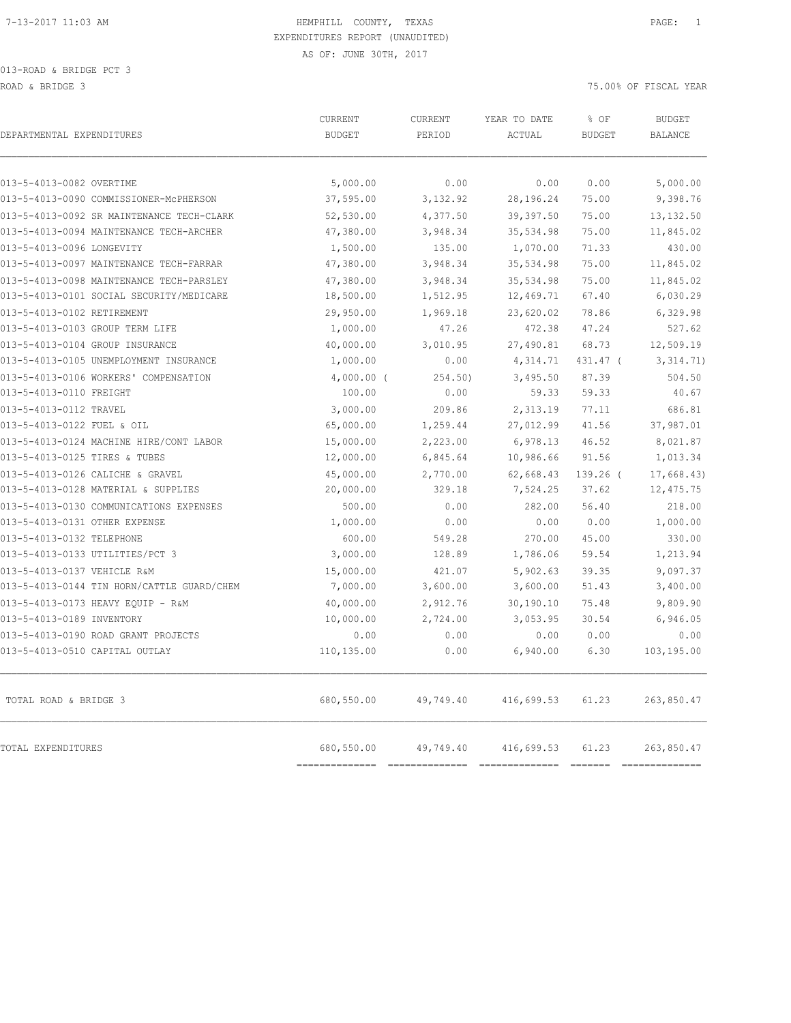| DEPARTMENTAL EXPENDITURES                  | CURRENT<br><b>BUDGET</b> | CURRENT<br>PERIOD | YEAR TO DATE<br>ACTUAL | % OF<br><b>BUDGET</b> | <b>BUDGET</b><br><b>BALANCE</b> |
|--------------------------------------------|--------------------------|-------------------|------------------------|-----------------------|---------------------------------|
| 013-5-4013-0082 OVERTIME                   | 5,000.00                 | 0.00              | 0.00                   | 0.00                  | 5,000.00                        |
| 013-5-4013-0090 COMMISSIONER-MCPHERSON     | 37,595.00                | 3,132.92          | 28, 196. 24            | 75.00                 | 9,398.76                        |
| 013-5-4013-0092 SR MAINTENANCE TECH-CLARK  | 52,530.00                | 4,377.50          | 39, 397.50             | 75.00                 | 13, 132.50                      |
| 013-5-4013-0094 MAINTENANCE TECH-ARCHER    | 47,380.00                | 3,948.34          | 35,534.98              | 75.00                 | 11,845.02                       |
| 013-5-4013-0096 LONGEVITY                  | 1,500.00                 | 135.00            | 1,070.00               | 71.33                 | 430.00                          |
| 013-5-4013-0097 MAINTENANCE TECH-FARRAR    | 47,380.00                | 3,948.34          | 35,534.98              | 75.00                 | 11,845.02                       |
| 013-5-4013-0098 MAINTENANCE TECH-PARSLEY   | 47,380.00                | 3,948.34          | 35,534.98              | 75.00                 | 11,845.02                       |
| 013-5-4013-0101 SOCIAL SECURITY/MEDICARE   | 18,500.00                | 1,512.95          | 12,469.71              | 67.40                 | 6,030.29                        |
| 013-5-4013-0102 RETIREMENT                 | 29,950.00                | 1,969.18          | 23,620.02              | 78.86                 | 6,329.98                        |
| 013-5-4013-0103 GROUP TERM LIFE            | 1,000.00                 | 47.26             | 472.38                 | 47.24                 | 527.62                          |
| 013-5-4013-0104 GROUP INSURANCE            | 40,000.00                | 3,010.95          | 27,490.81              | 68.73                 | 12,509.19                       |
| 013-5-4013-0105 UNEMPLOYMENT INSURANCE     | 1,000.00                 | 0.00              | 4,314.71               | 431.47 (              | 3,314.71)                       |
| 013-5-4013-0106 WORKERS' COMPENSATION      | $4,000.00$ (             | 254.50)           | 3,495.50               | 87.39                 | 504.50                          |
| 013-5-4013-0110 FREIGHT                    | 100.00                   | 0.00              | 59.33                  | 59.33                 | 40.67                           |
| 013-5-4013-0112 TRAVEL                     | 3,000.00                 | 209.86            | 2,313.19               | 77.11                 | 686.81                          |
| 013-5-4013-0122 FUEL & OIL                 | 65,000.00                | 1,259.44          | 27,012.99              | 41.56                 | 37,987.01                       |
| 013-5-4013-0124 MACHINE HIRE/CONT LABOR    | 15,000.00                | 2,223.00          | 6,978.13               | 46.52                 | 8,021.87                        |
| 013-5-4013-0125 TIRES & TUBES              | 12,000.00                | 6,845.64          | 10,986.66              | 91.56                 | 1,013.34                        |
| 013-5-4013-0126 CALICHE & GRAVEL           | 45,000.00                | 2,770.00          | 62,668.43              | 139.26 (              | 17,668.43)                      |
| 013-5-4013-0128 MATERIAL & SUPPLIES        | 20,000.00                | 329.18            | 7,524.25               | 37.62                 | 12, 475.75                      |
| 013-5-4013-0130 COMMUNICATIONS EXPENSES    | 500.00                   | 0.00              | 282.00                 | 56.40                 | 218.00                          |
| 013-5-4013-0131 OTHER EXPENSE              | 1,000.00                 | 0.00              | 0.00                   | 0.00                  | 1,000.00                        |
| 013-5-4013-0132 TELEPHONE                  | 600.00                   | 549.28            | 270.00                 | 45.00                 | 330.00                          |
| 013-5-4013-0133 UTILITIES/PCT 3            | 3,000.00                 | 128.89            | 1,786.06               | 59.54                 | 1,213.94                        |
| 013-5-4013-0137 VEHICLE R&M                | 15,000.00                | 421.07            | 5,902.63               | 39.35                 | 9,097.37                        |
| 013-5-4013-0144 TIN HORN/CATTLE GUARD/CHEM | 7,000.00                 | 3,600.00          | 3,600.00               | 51.43                 | 3,400.00                        |
| 013-5-4013-0173 HEAVY EQUIP - R&M          | 40,000.00                | 2,912.76          | 30,190.10              | 75.48                 | 9,809.90                        |
| 013-5-4013-0189 INVENTORY                  | 10,000.00                | 2,724.00          | 3,053.95               | 30.54                 | 6,946.05                        |
| 013-5-4013-0190 ROAD GRANT PROJECTS        | 0.00                     | 0.00              | 0.00                   | 0.00                  | 0.00                            |
| 013-5-4013-0510 CAPITAL OUTLAY             | 110,135.00               | 0.00              | 6,940.00               | 6.30                  | 103,195.00                      |
| TOTAL ROAD & BRIDGE 3                      | 680,550.00               | 49,749.40         | 416,699.53             | 61.23                 | 263,850.47                      |
| <b>TOTAL EXPENDITURES</b>                  | 680,550.00               | 49,749.40         | 416,699.53             | 61.23                 | 263,850.47                      |

============== ============== ============== ======= ==============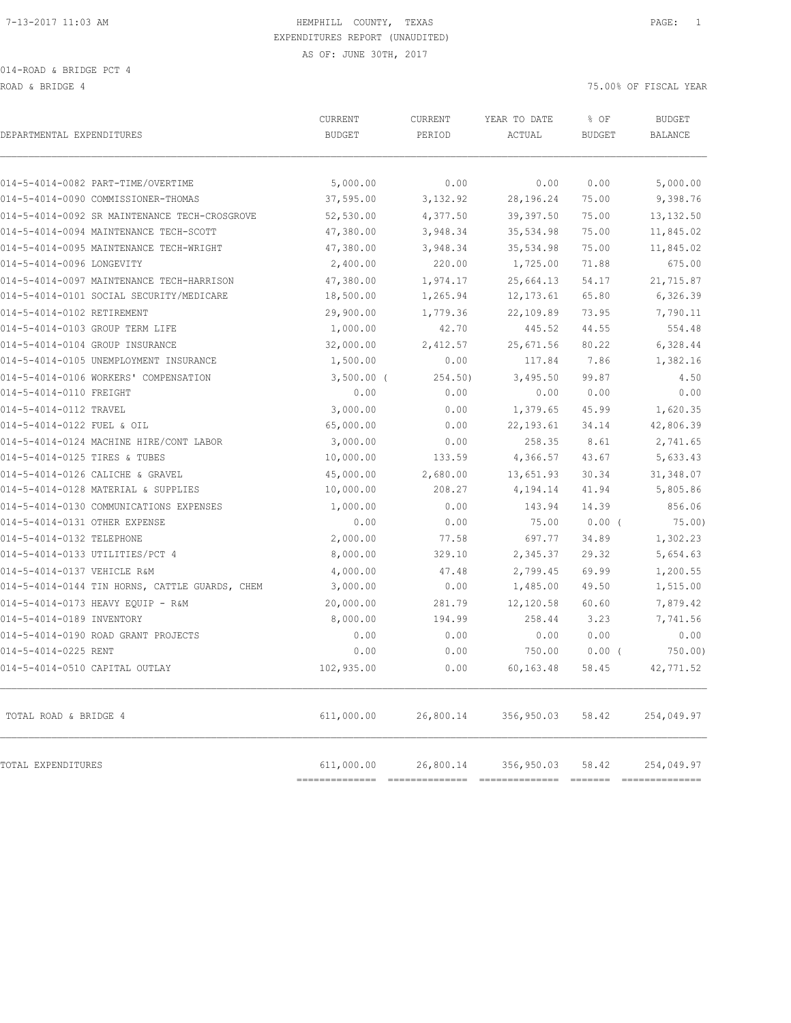ROAD & BRIDGE 4 75.00% OF FISCAL YEAR

| DEPARTMENTAL EXPENDITURES                      | CURRENT<br><b>BUDGET</b>     | CURRENT<br>PERIOD | YEAR TO DATE<br>ACTUAL | % OF<br><b>BUDGET</b> | <b>BUDGET</b><br><b>BALANCE</b> |
|------------------------------------------------|------------------------------|-------------------|------------------------|-----------------------|---------------------------------|
| 014-5-4014-0082 PART-TIME/OVERTIME             | 5,000.00                     | 0.00              | 0.00                   | 0.00                  | 5,000.00                        |
| 014-5-4014-0090 COMMISSIONER-THOMAS            | 37,595.00                    | 3,132.92          | 28,196.24              | 75.00                 | 9,398.76                        |
| 014-5-4014-0092 SR MAINTENANCE TECH-CROSGROVE  | 52,530.00                    | 4,377.50          | 39, 397.50             | 75.00                 | 13, 132.50                      |
| 014-5-4014-0094 MAINTENANCE TECH-SCOTT         | 47,380.00                    | 3,948.34          | 35,534.98              | 75.00                 | 11,845.02                       |
| 014-5-4014-0095 MAINTENANCE TECH-WRIGHT        | 47,380.00                    | 3,948.34          | 35,534.98              | 75.00                 | 11,845.02                       |
| 014-5-4014-0096 LONGEVITY                      | 2,400.00                     | 220.00            | 1,725.00               | 71.88                 | 675.00                          |
| 014-5-4014-0097 MAINTENANCE TECH-HARRISON      | 47,380.00                    | 1,974.17          | 25,664.13              | 54.17                 | 21,715.87                       |
| 014-5-4014-0101 SOCIAL SECURITY/MEDICARE       | 18,500.00                    | 1,265.94          | 12, 173.61             | 65.80                 | 6,326.39                        |
| 014-5-4014-0102 RETIREMENT                     | 29,900.00                    | 1,779.36          | 22,109.89              | 73.95                 | 7,790.11                        |
| 014-5-4014-0103 GROUP TERM LIFE                | 1,000.00                     | 42.70             | 445.52                 | 44.55                 | 554.48                          |
| 014-5-4014-0104 GROUP INSURANCE                | 32,000.00                    | 2,412.57          | 25,671.56              | 80.22                 | 6,328.44                        |
| 014-5-4014-0105 UNEMPLOYMENT INSURANCE         | 1,500.00                     | 0.00              | 117.84                 | 7.86                  | 1,382.16                        |
| 014-5-4014-0106 WORKERS' COMPENSATION          | $3,500.00$ (                 | 254.50            | 3,495.50               | 99.87                 | 4.50                            |
| 014-5-4014-0110 FREIGHT                        | 0.00                         | 0.00              | 0.00                   | 0.00                  | 0.00                            |
| 014-5-4014-0112 TRAVEL                         | 3,000.00                     | 0.00              | 1,379.65               | 45.99                 | 1,620.35                        |
| 014-5-4014-0122 FUEL & OIL                     | 65,000.00                    | 0.00              | 22, 193.61             | 34.14                 | 42,806.39                       |
| 014-5-4014-0124 MACHINE HIRE/CONT LABOR        | 3,000.00                     | 0.00              | 258.35                 | 8.61                  | 2,741.65                        |
| 014-5-4014-0125 TIRES & TUBES                  | 10,000.00                    | 133.59            | 4,366.57               | 43.67                 | 5,633.43                        |
| 014-5-4014-0126 CALICHE & GRAVEL               | 45,000.00                    | 2,680.00          | 13,651.93              | 30.34                 | 31,348.07                       |
| 014-5-4014-0128 MATERIAL & SUPPLIES            | 10,000.00                    | 208.27            | 4,194.14               | 41.94                 | 5,805.86                        |
| 014-5-4014-0130 COMMUNICATIONS EXPENSES        | 1,000.00                     | 0.00              | 143.94                 | 14.39                 | 856.06                          |
| 014-5-4014-0131 OTHER EXPENSE                  | 0.00                         | 0.00              | 75.00                  | $0.00$ (              | 75.00)                          |
| 014-5-4014-0132 TELEPHONE                      | 2,000.00                     | 77.58             | 697.77                 | 34.89                 | 1,302.23                        |
| 014-5-4014-0133 UTILITIES/PCT 4                | 8,000.00                     | 329.10            | 2,345.37               | 29.32                 | 5,654.63                        |
| 014-5-4014-0137 VEHICLE R&M                    | 4,000.00                     | 47.48             | 2,799.45               | 69.99                 | 1,200.55                        |
| 014-5-4014-0144 TIN HORNS, CATTLE GUARDS, CHEM | 3,000.00                     | 0.00              | 1,485.00               | 49.50                 | 1,515.00                        |
| 014-5-4014-0173 HEAVY EQUIP - R&M              | 20,000.00                    | 281.79            | 12,120.58              | 60.60                 | 7,879.42                        |
| 014-5-4014-0189 INVENTORY                      | 8,000.00                     | 194.99            | 258.44                 | 3.23                  | 7,741.56                        |
| 014-5-4014-0190 ROAD GRANT PROJECTS            | 0.00                         | 0.00              | 0.00                   | 0.00                  | 0.00                            |
| 014-5-4014-0225 RENT                           | 0.00                         | 0.00              | 750.00                 | $0.00$ (              | 750.00                          |
| 014-5-4014-0510 CAPITAL OUTLAY                 | 102,935.00                   | 0.00              | 60,163.48              | 58.45                 | 42,771.52                       |
| TOTAL ROAD & BRIDGE 4                          | 611,000.00                   | 26,800.14         | 356,950.03             | 58.42                 | 254,049.97                      |
| TOTAL EXPENDITURES                             | 611,000.00<br>============== | 26,800.14         | 356,950.03             | 58.42                 | 254,049.97<br>---------------   |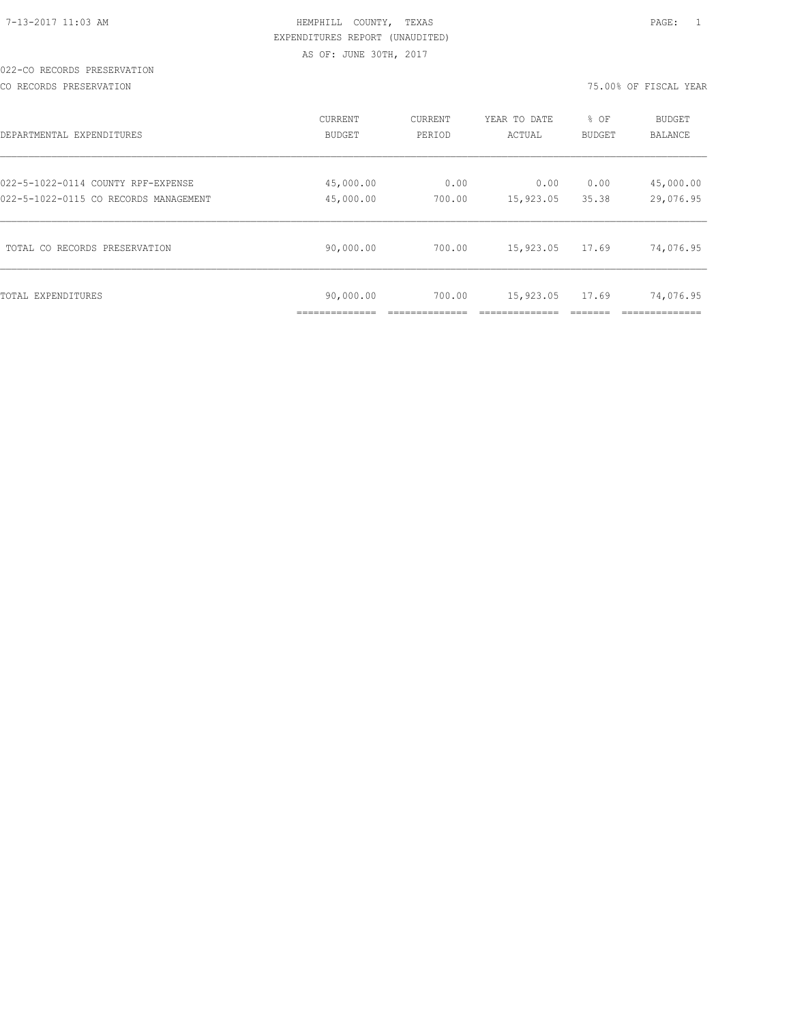# 022-CO RECORDS PRESERVATION

CO RECORDS PRESERVATION 75.00% OF FISCAL YEAR

| DEPARTMENTAL EXPENDITURES             | CURRENT   | <b>CURRENT</b> | YEAR TO DATE | % OF   | <b>BUDGET</b> |
|---------------------------------------|-----------|----------------|--------------|--------|---------------|
|                                       | BUDGET    | PERIOD         | ACTUAL       | BUDGET | BALANCE       |
| 022-5-1022-0114 COUNTY RPF-EXPENSE    | 45,000.00 | 0.00           | 0.00         | 0.00   | 45,000.00     |
| 022-5-1022-0115 CO RECORDS MANAGEMENT | 45,000.00 | 700.00         | 15,923.05    | 35.38  | 29,076.95     |
| TOTAL CO RECORDS PRESERVATION         | 90,000.00 | 700.00         | 15,923.05    | 17.69  | 74,076.95     |
| TOTAL EXPENDITURES                    | 90,000.00 | 700.00         | 15,923.05    | 17.69  | 74,076.95     |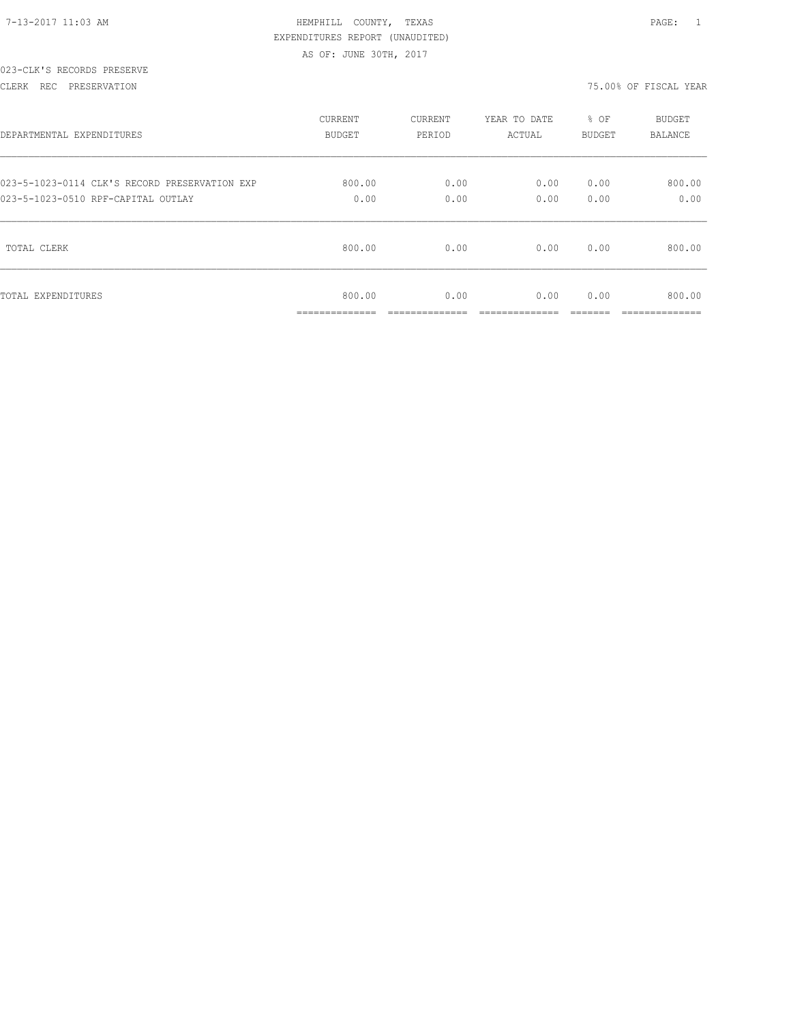| 7-13-2017 11:03 AM |  |
|--------------------|--|
|                    |  |

# HEMPHILL COUNTY, TEXAS **12:03 AM HEMPHILL COUNTY**, TEXAS EXPENDITURES REPORT (UNAUDITED) AS OF: JUNE 30TH, 2017

#### 023-CLK'S RECORDS PRESERVE

#### CLERK REC PRESERVATION 75.00% OF FISCAL YEAR

| DEPARTMENTAL EXPENDITURES                     | <b>CURRENT</b>           | CURRENT                | YEAR TO DATE           | % OF   | <b>BUDGET</b>           |
|-----------------------------------------------|--------------------------|------------------------|------------------------|--------|-------------------------|
|                                               | BUDGET                   | PERIOD                 | ACTUAL                 | BUDGET | <b>BALANCE</b>          |
| 023-5-1023-0114 CLK'S RECORD PRESERVATION EXP | 800.00                   | 0.00                   | 0.00                   | 0.00   | 800.00                  |
| 023-5-1023-0510 RPF-CAPITAL OUTLAY            | 0.00                     | 0.00                   | 0.00                   | 0.00   | 0.00                    |
| TOTAL CLERK                                   | 800.00                   | 0.00                   | 0.00                   | 0.00   | 800.00                  |
| TOTAL EXPENDITURES                            | 800.00<br>______________ | 0.00<br>______________ | 0.00<br>______________ | 0.00   | 800.00<br>_____________ |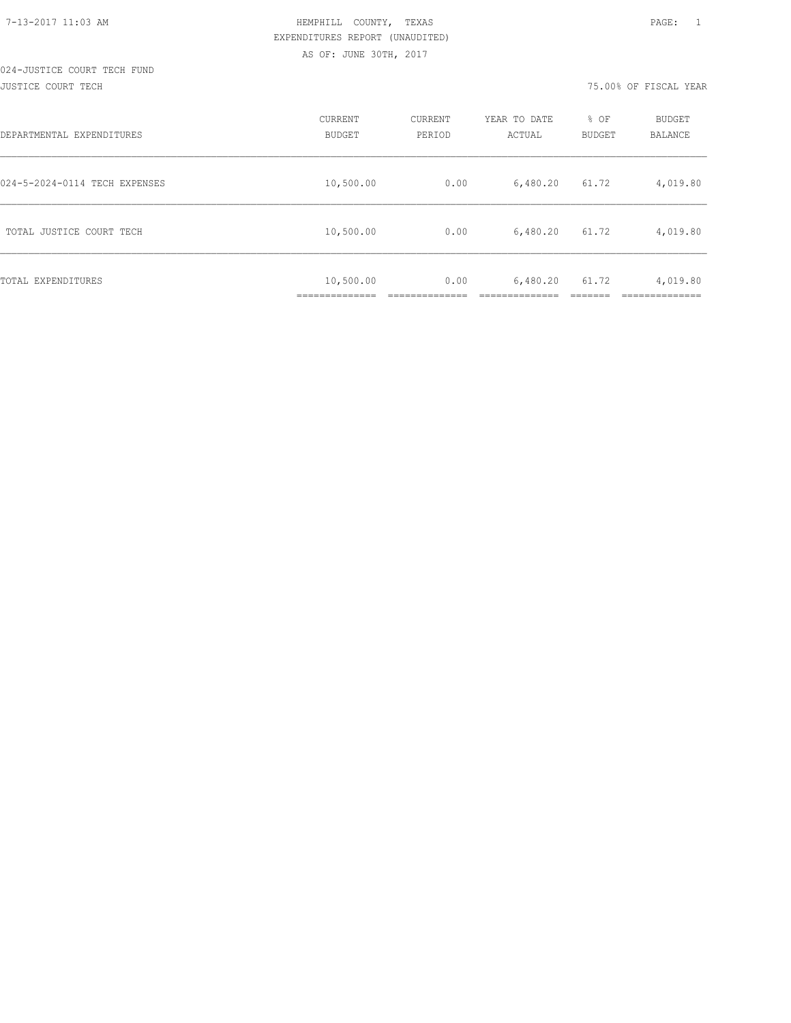#### 024-JUSTICE COURT TECH FUND JUSTICE COURT TECH 75.00% OF FISCAL YEAR

| DEPARTMENTAL EXPENDITURES     | CURRENT<br><b>BUDGET</b>  | <b>CURRENT</b><br>PERIOD | YEAR TO DATE<br>ACTUAL | % OF<br><b>BUDGET</b> | <b>BUDGET</b><br>BALANCE |
|-------------------------------|---------------------------|--------------------------|------------------------|-----------------------|--------------------------|
| 024-5-2024-0114 TECH EXPENSES | 10,500.00                 | 0.00                     | 6,480.20               | 61.72                 | 4,019.80                 |
| TOTAL JUSTICE COURT TECH      | 10,500.00                 | 0.00                     | 6,480.20               | 61.72                 | 4,019.80                 |
| TOTAL EXPENDITURES            | 10,500.00<br>____________ | 0.00                     | 6,480.20               | 61.72                 | 4,019.80                 |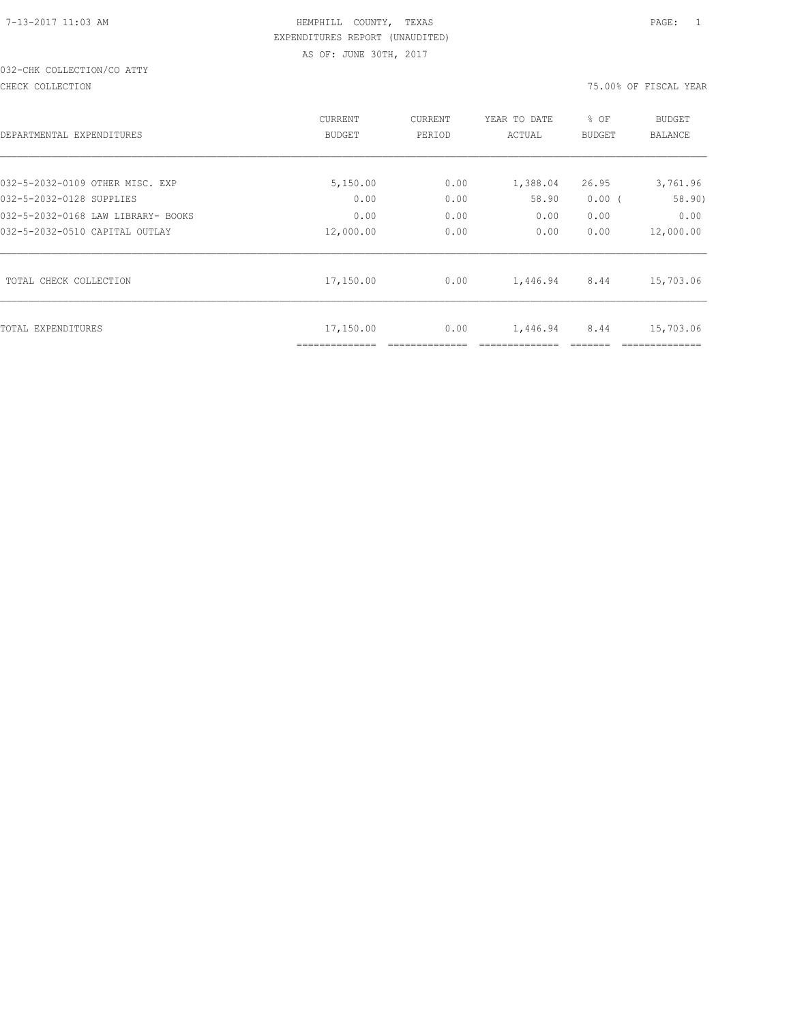# 032-CHK COLLECTION/CO ATTY

CHECK COLLECTION 75.00% OF FISCAL YEAR

| DEPARTMENTAL EXPENDITURES          | CURRENT<br><b>BUDGET</b> | CURRENT<br>PERIOD | YEAR TO DATE<br>ACTUAL | % OF<br><b>BUDGET</b> | <b>BUDGET</b><br><b>BALANCE</b> |
|------------------------------------|--------------------------|-------------------|------------------------|-----------------------|---------------------------------|
| 032-5-2032-0109 OTHER MISC. EXP    | 5,150.00                 | 0.00              | 1,388.04               | 26.95                 | 3,761.96                        |
| 032-5-2032-0128 SUPPLIES           | 0.00                     | 0.00              | 58.90                  | $0.00$ (              | 58.90)                          |
| 032-5-2032-0168 LAW LIBRARY- BOOKS | 0.00                     | 0.00              | 0.00                   | 0.00                  | 0.00                            |
| 032-5-2032-0510 CAPITAL OUTLAY     | 12,000.00                | 0.00              | 0.00                   | 0.00                  | 12,000.00                       |
| TOTAL CHECK COLLECTION             | 17,150.00                | 0.00              | 1,446.94               | 8.44                  | 15,703.06                       |
| TOTAL EXPENDITURES                 | 17,150.00                | 0.00              | 1,446.94               | 8.44                  | 15,703.06                       |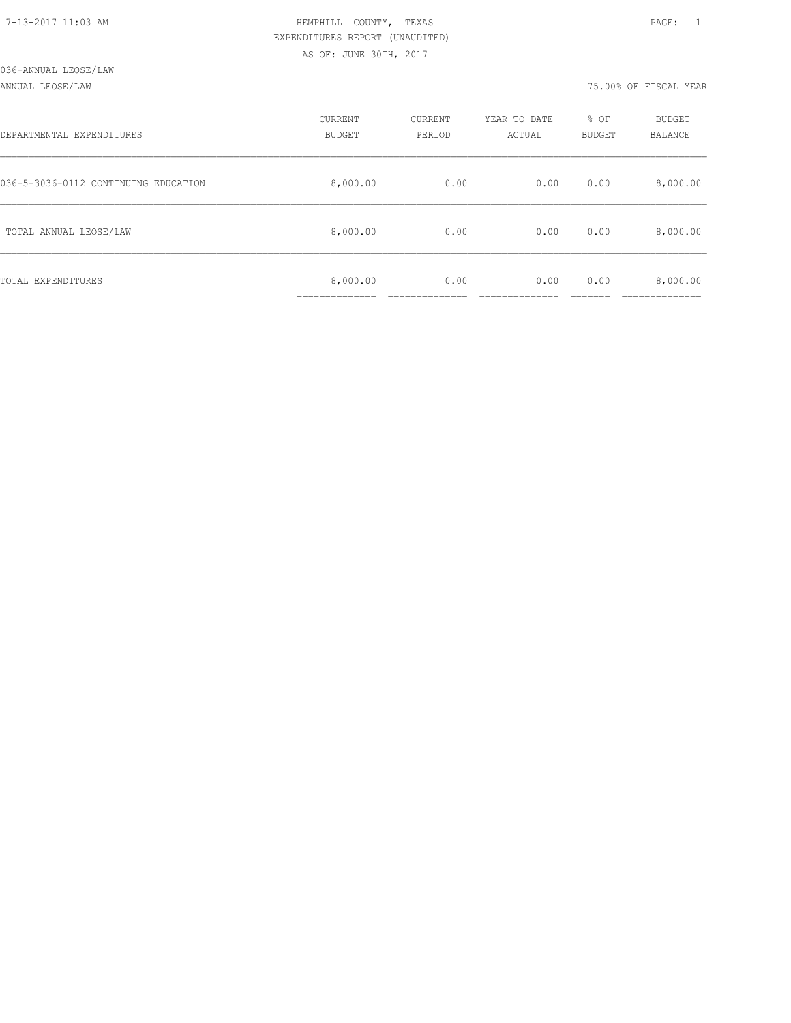ANNUAL LEOSE/LAW 75.00% OF FISCAL YEAR

| DEPARTMENTAL EXPENDITURES            | CURRENT<br><b>BUDGET</b> | CURRENT<br>PERIOD | YEAR TO DATE<br>ACTUAL | % OF<br><b>BUDGET</b> | <b>BUDGET</b><br>BALANCE |
|--------------------------------------|--------------------------|-------------------|------------------------|-----------------------|--------------------------|
| 036-5-3036-0112 CONTINUING EDUCATION | 8,000.00                 | 0.00              | 0.00                   | 0.00                  | 8,000.00                 |
| TOTAL ANNUAL LEOSE/LAW               | 8,000.00                 | 0.00              | 0.00                   | 0.00                  | 8,000.00                 |
| TOTAL EXPENDITURES                   | 8,000.00                 | 0.00              | 0.00                   | 0.00                  | 8,000.00                 |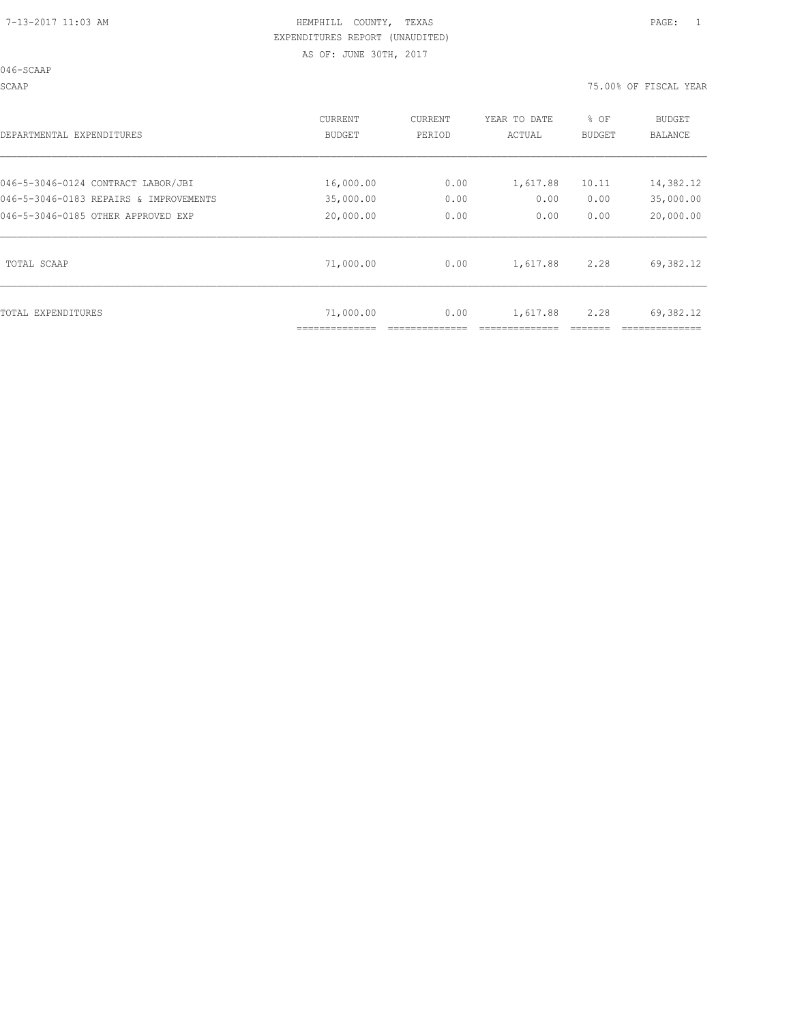046-SCAAP

SCAAP 75.00% OF FISCAL YEAR

| DEPARTMENTAL EXPENDITURES              | <b>CURRENT</b><br>BUDGET | CURRENT<br>PERIOD | YEAR TO DATE<br>ACTUAL | % OF<br>BUDGET | <b>BUDGET</b><br>BALANCE |
|----------------------------------------|--------------------------|-------------------|------------------------|----------------|--------------------------|
| 046-5-3046-0124 CONTRACT LABOR/JBI     | 16,000.00                | 0.00              | 1,617.88               | 10.11          | 14,382.12                |
| 046-5-3046-0183 REPAIRS & IMPROVEMENTS | 35,000.00                | 0.00              | 0.00                   | 0.00           | 35,000.00                |
| 046-5-3046-0185 OTHER APPROVED EXP     | 20,000.00                | 0.00              | 0.00                   | 0.00           | 20,000.00                |
| TOTAL SCAAP                            | 71,000.00                | 0.00              | 1,617.88               | 2.28           | 69,382.12                |
| TOTAL EXPENDITURES                     | 71,000.00                | 0.00              | 1,617.88               | 2.28           | 69,382.12                |